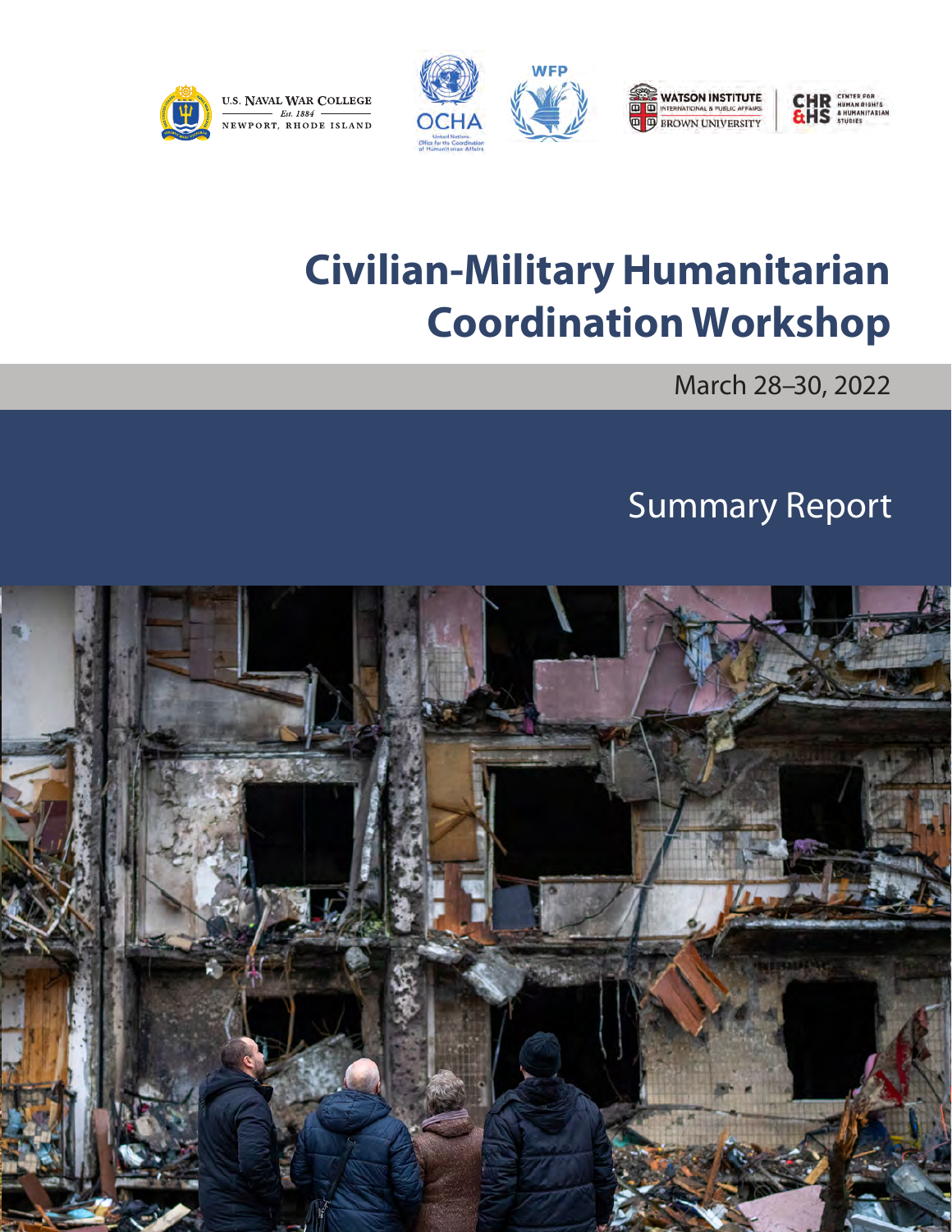

# **Civilian-Military Humanitarian Coordination Workshop**

March 28–30, 2022

# Summary Report

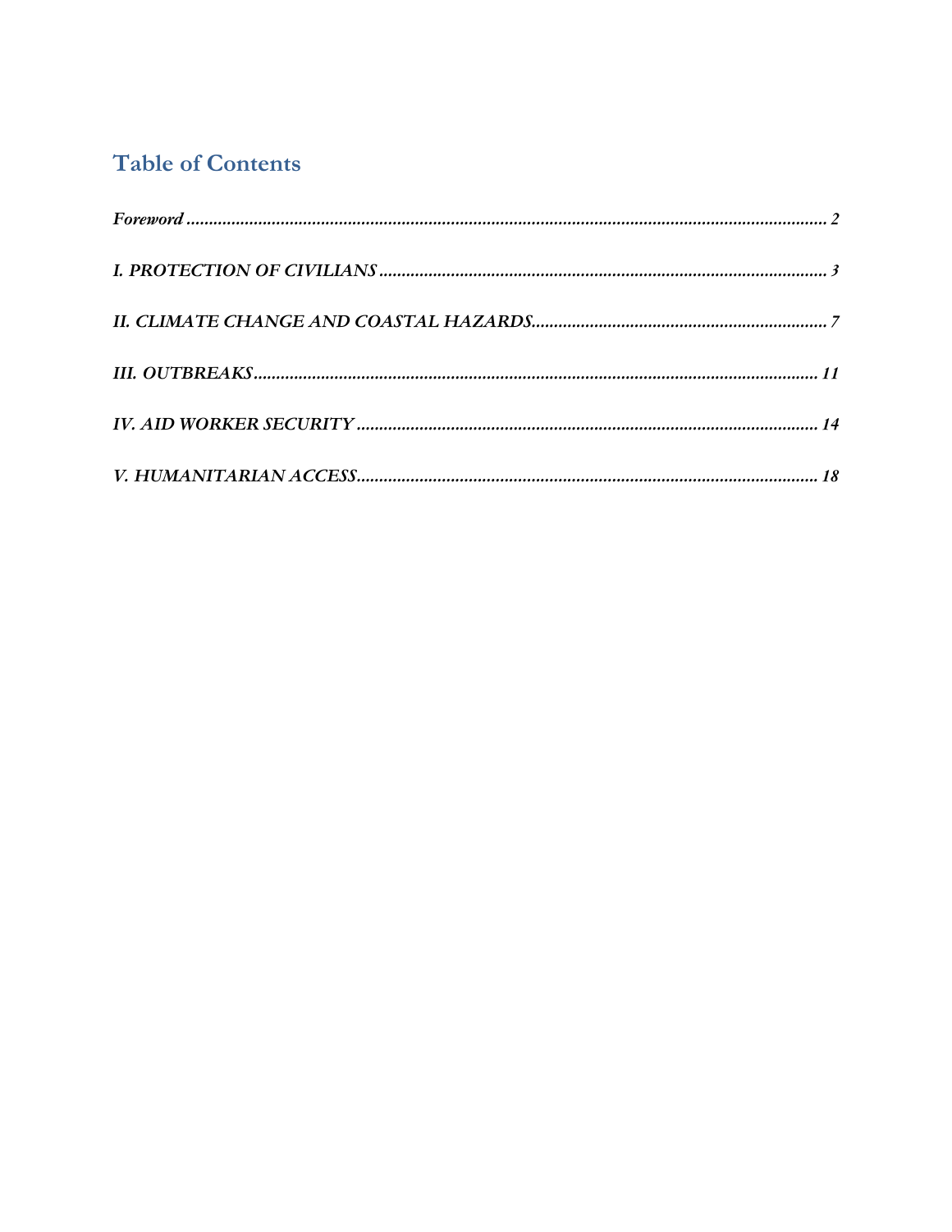# **Table of Contents**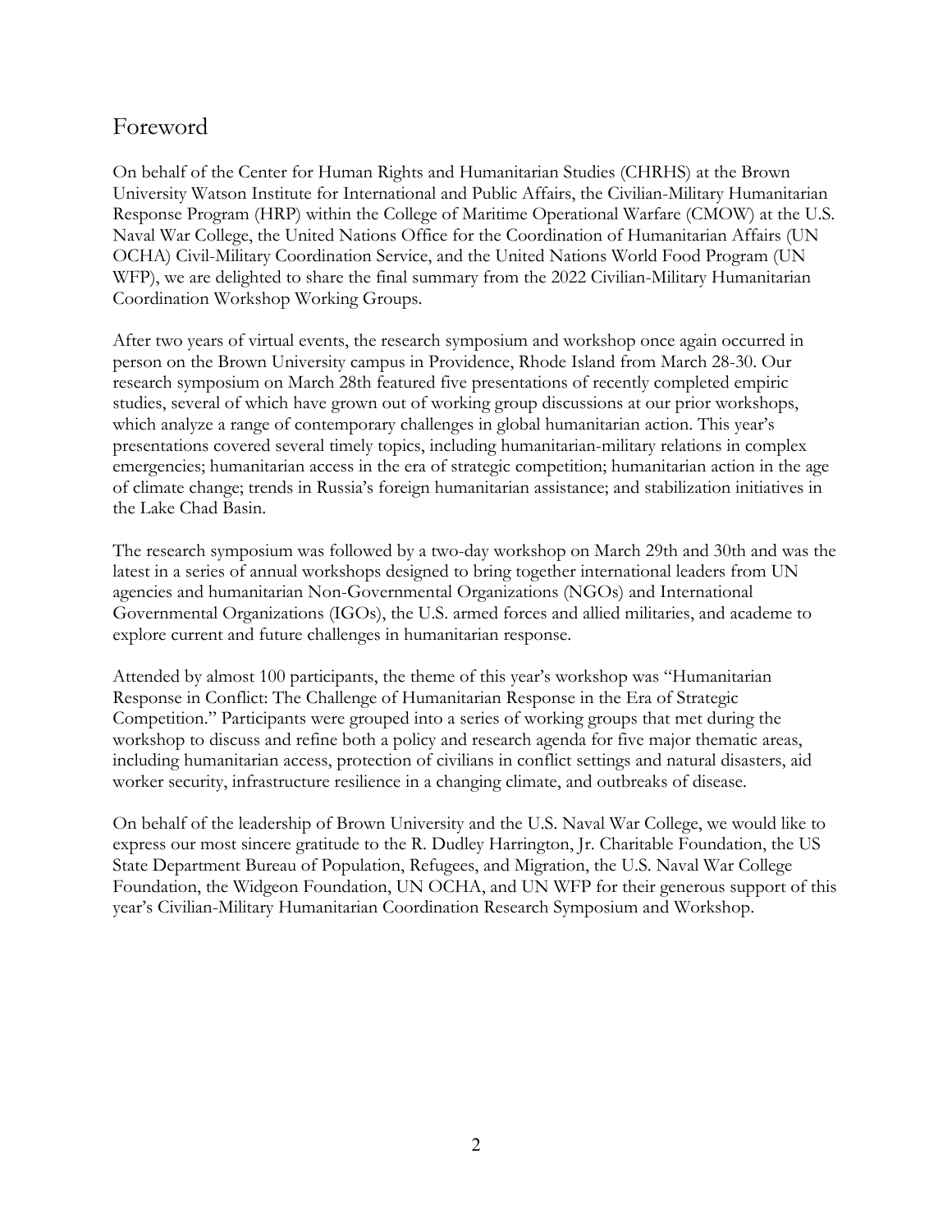# Foreword

On behalf of the Center for Human Rights and Humanitarian Studies (CHRHS) at the Brown University Watson Institute for International and Public Affairs, the Civilian-Military Humanitarian Response Program (HRP) within the College of Maritime Operational Warfare (CMOW) at the U.S. Naval War College, the United Nations Office for the Coordination of Humanitarian Affairs (UN OCHA) Civil-Military Coordination Service, and the United Nations World Food Program (UN WFP), we are delighted to share the final summary from the 2022 Civilian-Military Humanitarian Coordination Workshop Working Groups.

After two years of virtual events, the research symposium and workshop once again occurred in person on the Brown University campus in Providence, Rhode Island from March 28-30. Our research symposium on March 28th featured five presentations of recently completed empiric studies, several of which have grown out of working group discussions at our prior workshops, which analyze a range of contemporary challenges in global humanitarian action. This year's presentations covered several timely topics, including humanitarian-military relations in complex emergencies; humanitarian access in the era of strategic competition; humanitarian action in the age of climate change; trends in Russia's foreign humanitarian assistance; and stabilization initiatives in the Lake Chad Basin.

The research symposium was followed by a two-day workshop on March 29th and 30th and was the latest in a series of annual workshops designed to bring together international leaders from UN agencies and humanitarian Non-Governmental Organizations (NGOs) and International Governmental Organizations (IGOs), the U.S. armed forces and allied militaries, and academe to explore current and future challenges in humanitarian response.

Attended by almost 100 participants, the theme of this year's workshop was "Humanitarian Response in Conflict: The Challenge of Humanitarian Response in the Era of Strategic Competition." Participants were grouped into a series of working groups that met during the workshop to discuss and refine both a policy and research agenda for five major thematic areas, including humanitarian access, protection of civilians in conflict settings and natural disasters, aid worker security, infrastructure resilience in a changing climate, and outbreaks of disease.

On behalf of the leadership of Brown University and the U.S. Naval War College, we would like to express our most sincere gratitude to the R. Dudley Harrington, Jr. Charitable Foundation, the US State Department Bureau of Population, Refugees, and Migration, the U.S. Naval War College Foundation, the Widgeon Foundation, UN OCHA, and UN WFP for their generous support of this year's Civilian-Military Humanitarian Coordination Research Symposium and Workshop.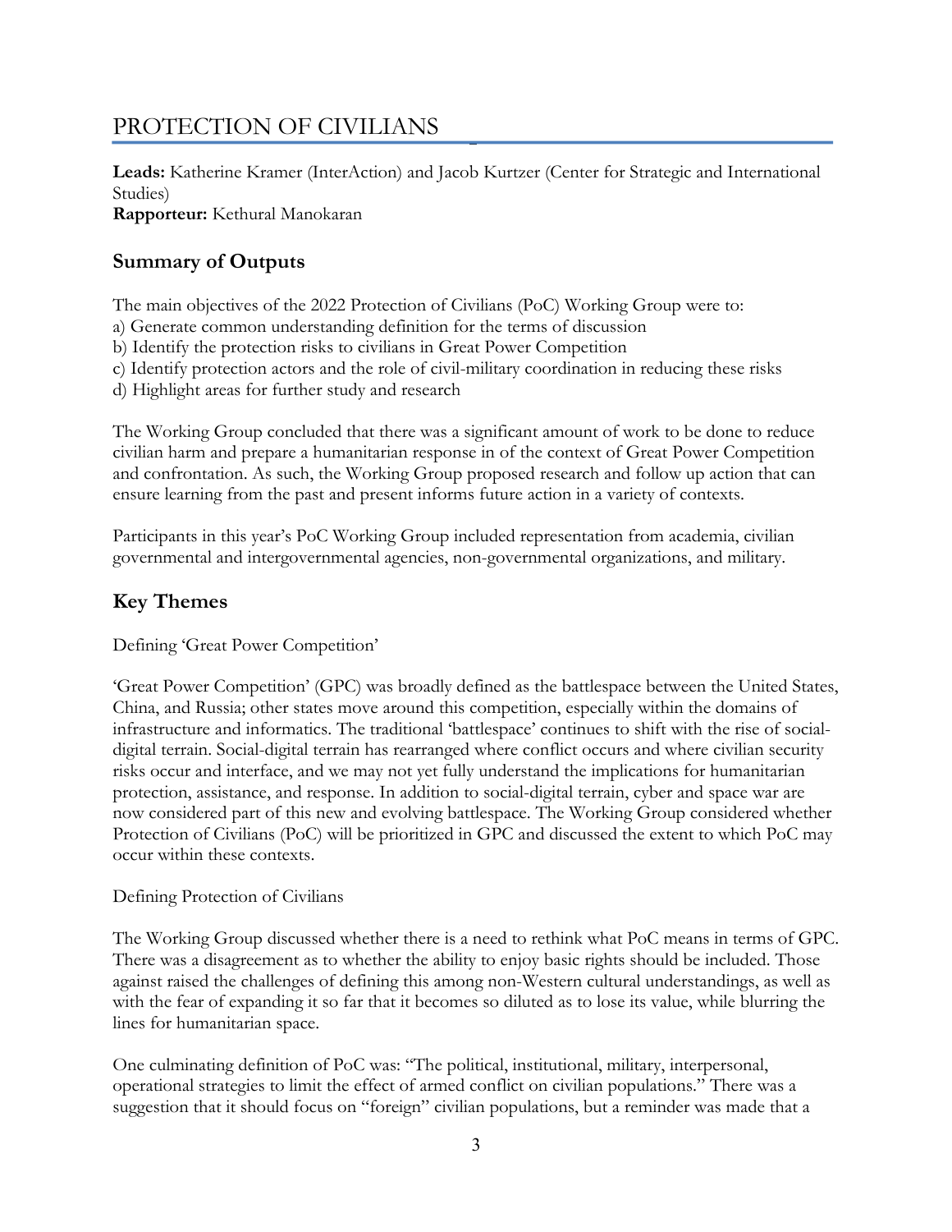# PROTECTION OF CIVILIANS

**Leads:** Katherine Kramer (InterAction) and Jacob Kurtzer (Center for Strategic and International Studies)

**Rapporteur:** Kethural Manokaran

# **Summary of Outputs**

The main objectives of the 2022 Protection of Civilians (PoC) Working Group were to:

- a) Generate common understanding definition for the terms of discussion
- b) Identify the protection risks to civilians in Great Power Competition
- c) Identify protection actors and the role of civil-military coordination in reducing these risks
- d) Highlight areas for further study and research

The Working Group concluded that there was a significant amount of work to be done to reduce civilian harm and prepare a humanitarian response in of the context of Great Power Competition and confrontation. As such, the Working Group proposed research and follow up action that can ensure learning from the past and present informs future action in a variety of contexts.

Participants in this year's PoC Working Group included representation from academia, civilian governmental and intergovernmental agencies, non-governmental organizations, and military.

# **Key Themes**

Defining 'Great Power Competition'

'Great Power Competition' (GPC) was broadly defined as the battlespace between the United States, China, and Russia; other states move around this competition, especially within the domains of infrastructure and informatics. The traditional 'battlespace' continues to shift with the rise of socialdigital terrain. Social-digital terrain has rearranged where conflict occurs and where civilian security risks occur and interface, and we may not yet fully understand the implications for humanitarian protection, assistance, and response. In addition to social-digital terrain, cyber and space war are now considered part of this new and evolving battlespace. The Working Group considered whether Protection of Civilians (PoC) will be prioritized in GPC and discussed the extent to which PoC may occur within these contexts.

# Defining Protection of Civilians

The Working Group discussed whether there is a need to rethink what PoC means in terms of GPC. There was a disagreement as to whether the ability to enjoy basic rights should be included. Those against raised the challenges of defining this among non-Western cultural understandings, as well as with the fear of expanding it so far that it becomes so diluted as to lose its value, while blurring the lines for humanitarian space.

One culminating definition of PoC was: "The political, institutional, military, interpersonal, operational strategies to limit the effect of armed conflict on civilian populations." There was a suggestion that it should focus on "foreign" civilian populations, but a reminder was made that a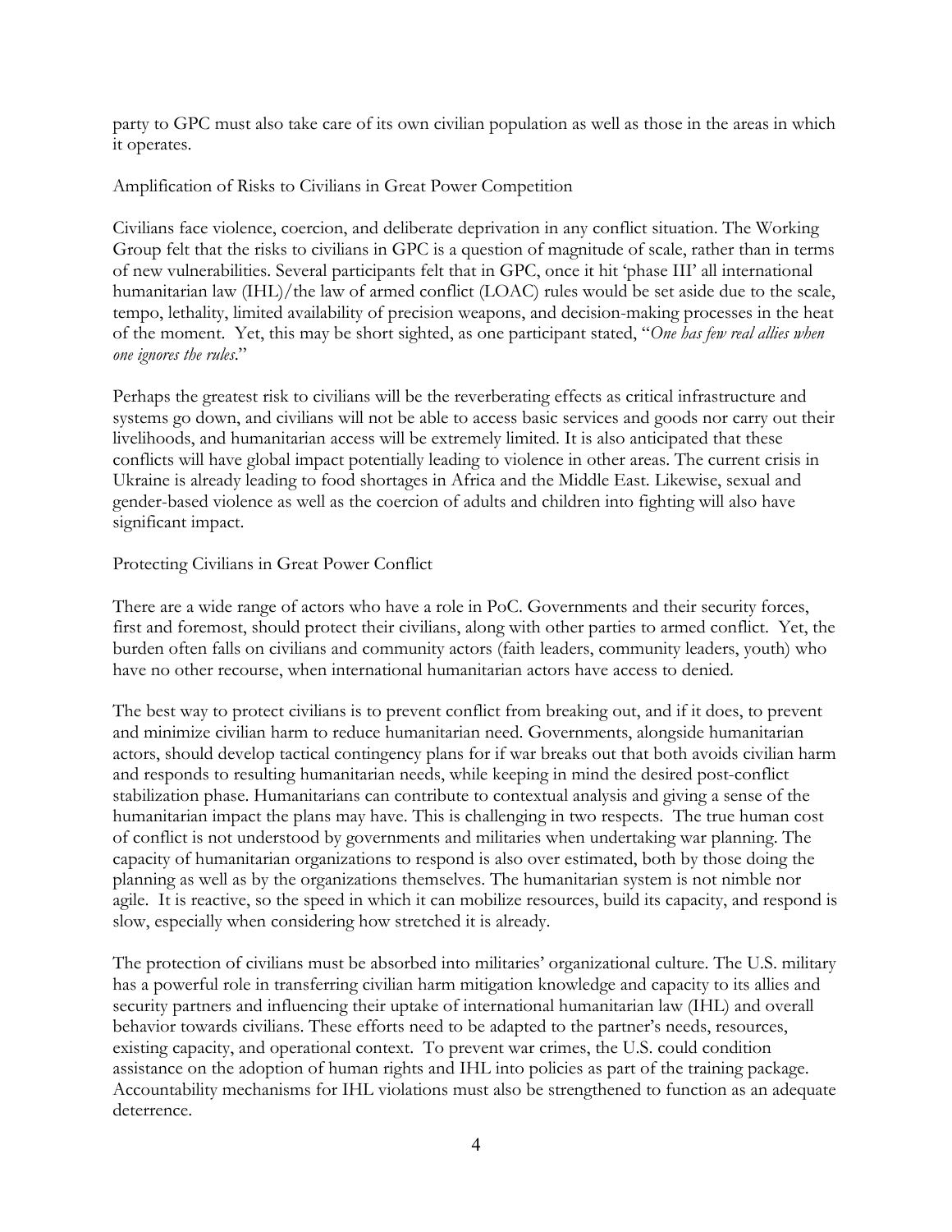party to GPC must also take care of its own civilian population as well as those in the areas in which it operates.

#### Amplification of Risks to Civilians in Great Power Competition

Civilians face violence, coercion, and deliberate deprivation in any conflict situation. The Working Group felt that the risks to civilians in GPC is a question of magnitude of scale, rather than in terms of new vulnerabilities. Several participants felt that in GPC, once it hit 'phase III' all international humanitarian law (IHL)/the law of armed conflict (LOAC) rules would be set aside due to the scale, tempo, lethality, limited availability of precision weapons, and decision-making processes in the heat of the moment. Yet, this may be short sighted, as one participant stated, "*One has few real allies when one ignores the rules*."

Perhaps the greatest risk to civilians will be the reverberating effects as critical infrastructure and systems go down, and civilians will not be able to access basic services and goods nor carry out their livelihoods, and humanitarian access will be extremely limited. It is also anticipated that these conflicts will have global impact potentially leading to violence in other areas. The current crisis in Ukraine is already leading to food shortages in Africa and the Middle East. Likewise, sexual and gender-based violence as well as the coercion of adults and children into fighting will also have significant impact.

#### Protecting Civilians in Great Power Conflict

There are a wide range of actors who have a role in PoC. Governments and their security forces, first and foremost, should protect their civilians, along with other parties to armed conflict. Yet, the burden often falls on civilians and community actors (faith leaders, community leaders, youth) who have no other recourse, when international humanitarian actors have access to denied.

The best way to protect civilians is to prevent conflict from breaking out, and if it does, to prevent and minimize civilian harm to reduce humanitarian need. Governments, alongside humanitarian actors, should develop tactical contingency plans for if war breaks out that both avoids civilian harm and responds to resulting humanitarian needs, while keeping in mind the desired post-conflict stabilization phase. Humanitarians can contribute to contextual analysis and giving a sense of the humanitarian impact the plans may have. This is challenging in two respects. The true human cost of conflict is not understood by governments and militaries when undertaking war planning. The capacity of humanitarian organizations to respond is also over estimated, both by those doing the planning as well as by the organizations themselves. The humanitarian system is not nimble nor agile. It is reactive, so the speed in which it can mobilize resources, build its capacity, and respond is slow, especially when considering how stretched it is already.

The protection of civilians must be absorbed into militaries' organizational culture. The U.S. military has a powerful role in transferring civilian harm mitigation knowledge and capacity to its allies and security partners and influencing their uptake of international humanitarian law (IHL) and overall behavior towards civilians. These efforts need to be adapted to the partner's needs, resources, existing capacity, and operational context. To prevent war crimes, the U.S. could condition assistance on the adoption of human rights and IHL into policies as part of the training package. Accountability mechanisms for IHL violations must also be strengthened to function as an adequate deterrence.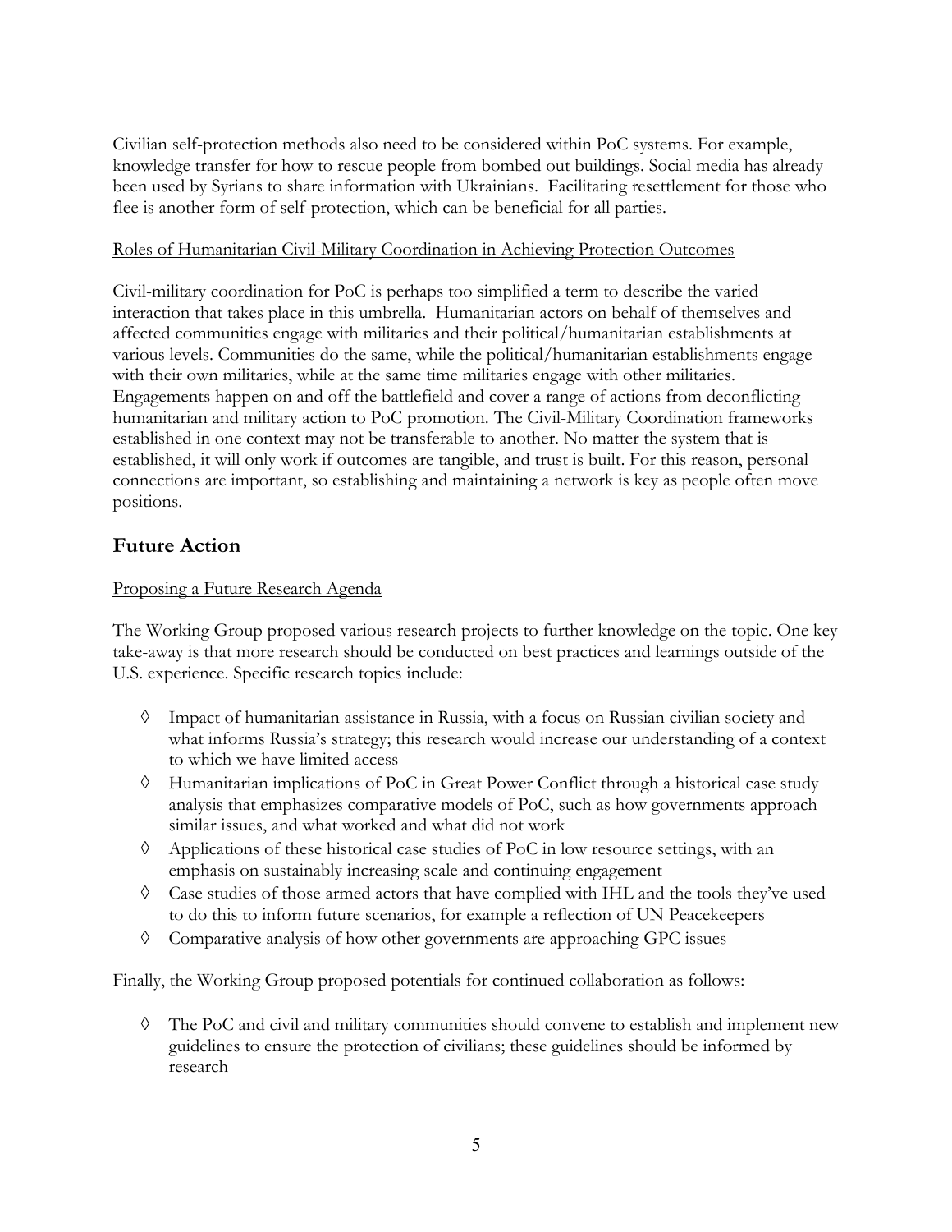Civilian self-protection methods also need to be considered within PoC systems. For example, knowledge transfer for how to rescue people from bombed out buildings. Social media has already been used by Syrians to share information with Ukrainians. Facilitating resettlement for those who flee is another form of self-protection, which can be beneficial for all parties.

#### Roles of Humanitarian Civil-Military Coordination in Achieving Protection Outcomes

Civil-military coordination for PoC is perhaps too simplified a term to describe the varied interaction that takes place in this umbrella. Humanitarian actors on behalf of themselves and affected communities engage with militaries and their political/humanitarian establishments at various levels. Communities do the same, while the political/humanitarian establishments engage with their own militaries, while at the same time militaries engage with other militaries. Engagements happen on and off the battlefield and cover a range of actions from deconflicting humanitarian and military action to PoC promotion. The Civil-Military Coordination frameworks established in one context may not be transferable to another. No matter the system that is established, it will only work if outcomes are tangible, and trust is built. For this reason, personal connections are important, so establishing and maintaining a network is key as people often move positions.

# **Future Action**

# Proposing a Future Research Agenda

The Working Group proposed various research projects to further knowledge on the topic. One key take-away is that more research should be conducted on best practices and learnings outside of the U.S. experience. Specific research topics include:

- à Impact of humanitarian assistance in Russia, with a focus on Russian civilian society and what informs Russia's strategy; this research would increase our understanding of a context to which we have limited access
- $\Diamond$  Humanitarian implications of PoC in Great Power Conflict through a historical case study analysis that emphasizes comparative models of PoC, such as how governments approach similar issues, and what worked and what did not work
- à Applications of these historical case studies of PoC in low resource settings, with an emphasis on sustainably increasing scale and continuing engagement
- à Case studies of those armed actors that have complied with IHL and the tools they've used to do this to inform future scenarios, for example a reflection of UN Peacekeepers
- $\Diamond$  Comparative analysis of how other governments are approaching GPC issues

Finally, the Working Group proposed potentials for continued collaboration as follows:

 $\Diamond$  The PoC and civil and military communities should convene to establish and implement new guidelines to ensure the protection of civilians; these guidelines should be informed by research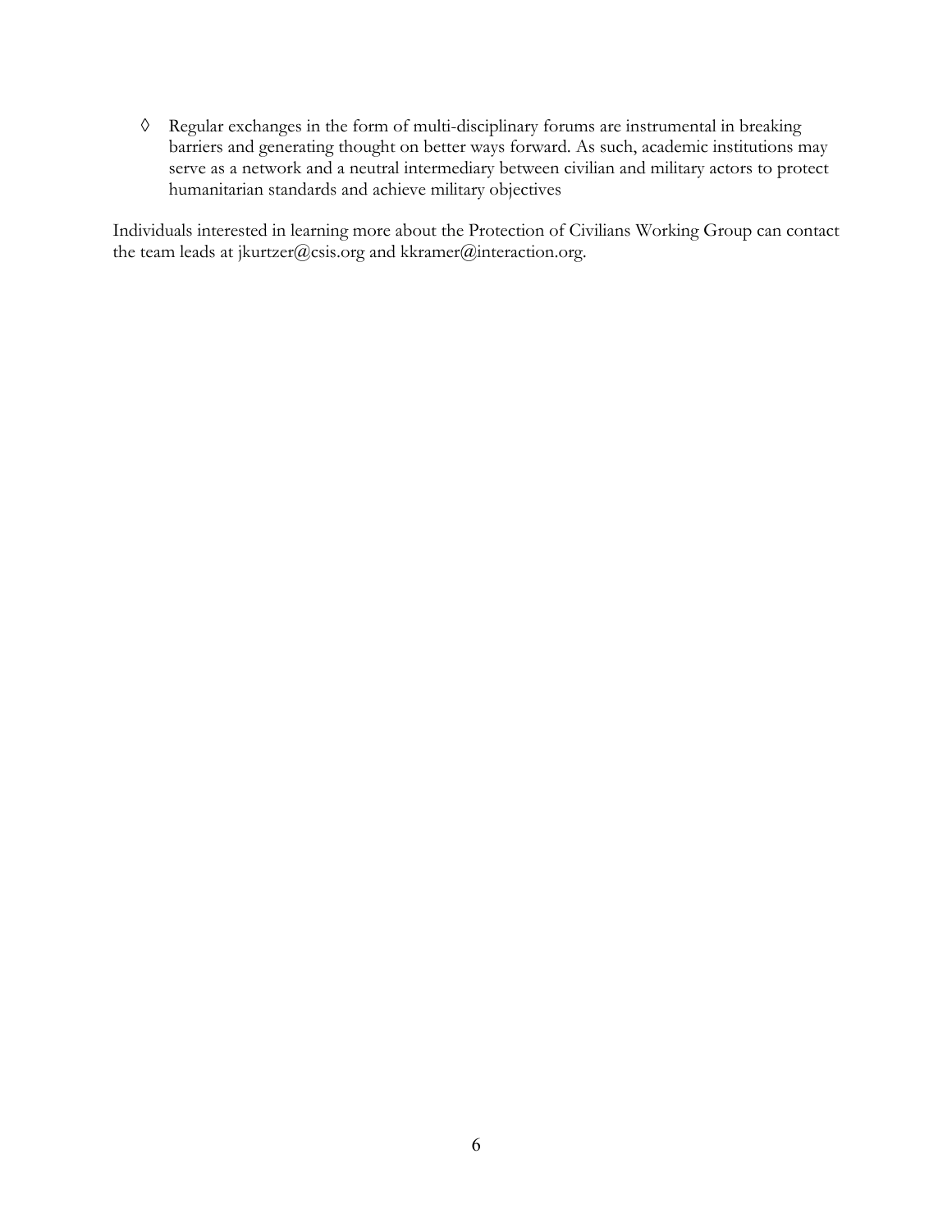à Regular exchanges in the form of multi-disciplinary forums are instrumental in breaking barriers and generating thought on better ways forward. As such, academic institutions may serve as a network and a neutral intermediary between civilian and military actors to protect humanitarian standards and achieve military objectives

Individuals interested in learning more about the Protection of Civilians Working Group can contact the team leads at jkurtzer@csis.org and kkramer@interaction.org.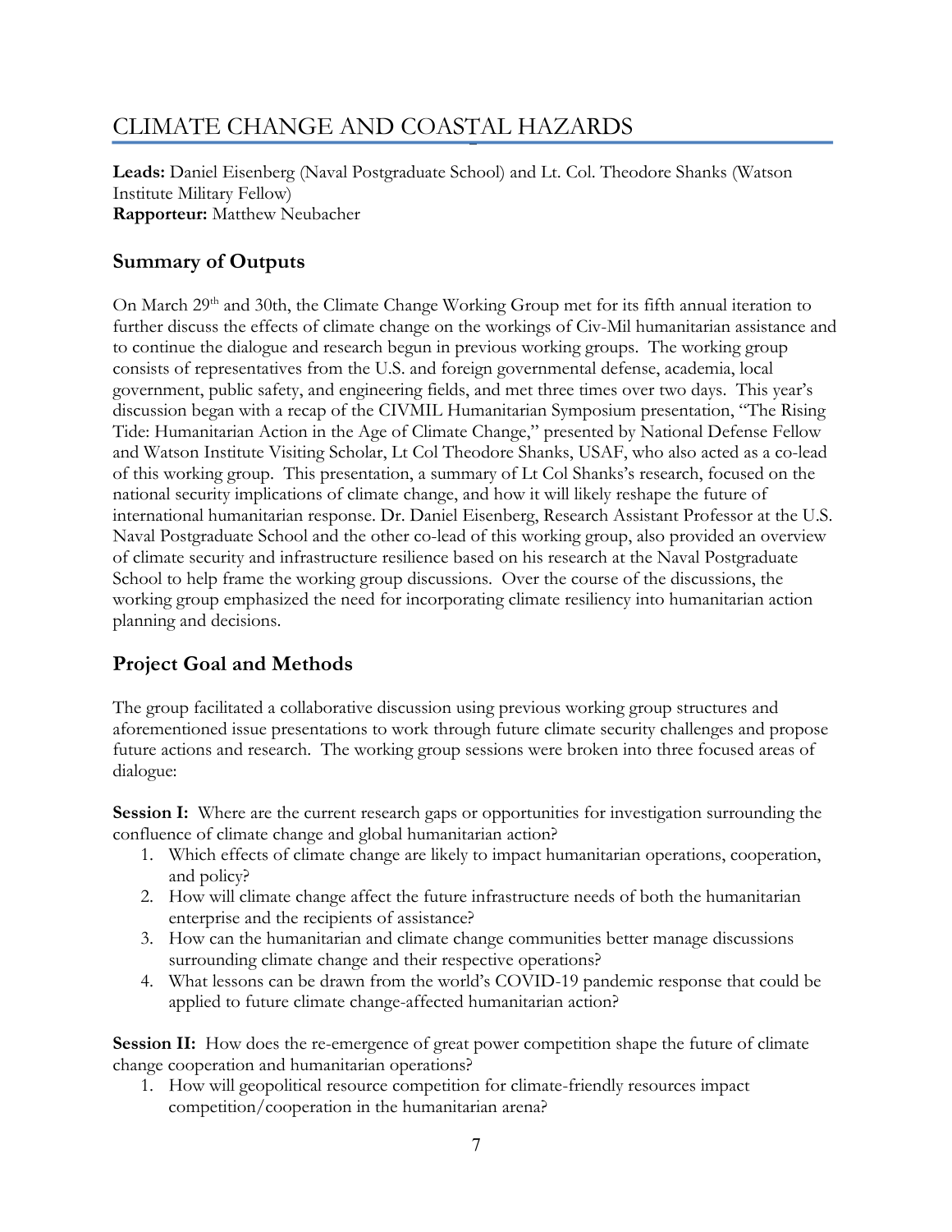# CLIMATE CHANGE AND COASTAL HAZARDS

**Leads:** Daniel Eisenberg (Naval Postgraduate School) and Lt. Col. Theodore Shanks (Watson Institute Military Fellow) **Rapporteur:** Matthew Neubacher

# **Summary of Outputs**

On March 29<sup>th</sup> and 30th, the Climate Change Working Group met for its fifth annual iteration to further discuss the effects of climate change on the workings of Civ-Mil humanitarian assistance and to continue the dialogue and research begun in previous working groups. The working group consists of representatives from the U.S. and foreign governmental defense, academia, local government, public safety, and engineering fields, and met three times over two days. This year's discussion began with a recap of the CIVMIL Humanitarian Symposium presentation, "The Rising Tide: Humanitarian Action in the Age of Climate Change," presented by National Defense Fellow and Watson Institute Visiting Scholar, Lt Col Theodore Shanks, USAF, who also acted as a co-lead of this working group. This presentation, a summary of Lt Col Shanks's research, focused on the national security implications of climate change, and how it will likely reshape the future of international humanitarian response. Dr. Daniel Eisenberg, Research Assistant Professor at the U.S. Naval Postgraduate School and the other co-lead of this working group, also provided an overview of climate security and infrastructure resilience based on his research at the Naval Postgraduate School to help frame the working group discussions. Over the course of the discussions, the working group emphasized the need for incorporating climate resiliency into humanitarian action planning and decisions.

# **Project Goal and Methods**

The group facilitated a collaborative discussion using previous working group structures and aforementioned issue presentations to work through future climate security challenges and propose future actions and research. The working group sessions were broken into three focused areas of dialogue:

**Session I:** Where are the current research gaps or opportunities for investigation surrounding the confluence of climate change and global humanitarian action?

- 1. Which effects of climate change are likely to impact humanitarian operations, cooperation, and policy?
- 2. How will climate change affect the future infrastructure needs of both the humanitarian enterprise and the recipients of assistance?
- 3. How can the humanitarian and climate change communities better manage discussions surrounding climate change and their respective operations?
- 4. What lessons can be drawn from the world's COVID-19 pandemic response that could be applied to future climate change-affected humanitarian action?

**Session II:** How does the re-emergence of great power competition shape the future of climate change cooperation and humanitarian operations?

1. How will geopolitical resource competition for climate-friendly resources impact competition/cooperation in the humanitarian arena?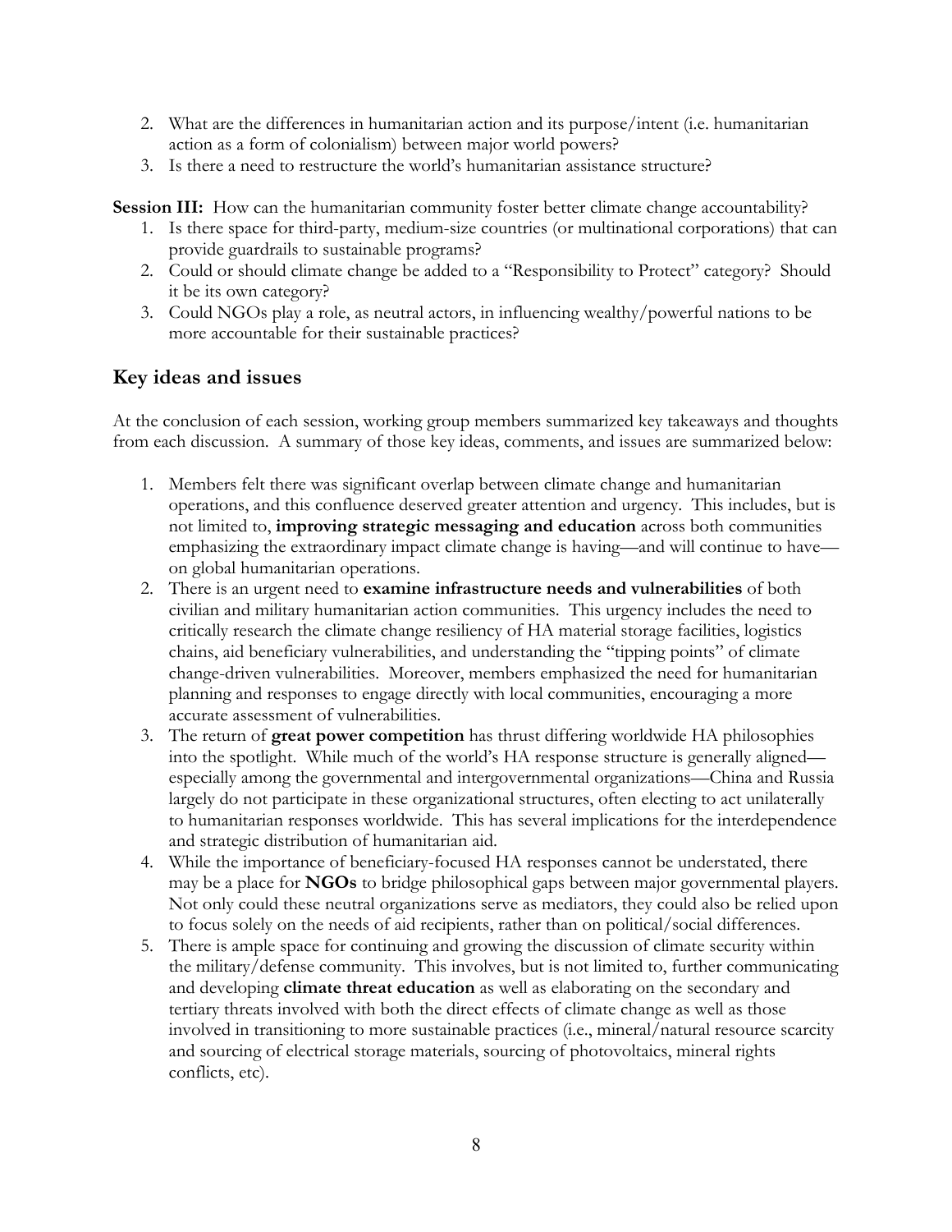- 2. What are the differences in humanitarian action and its purpose/intent (i.e. humanitarian action as a form of colonialism) between major world powers?
- 3. Is there a need to restructure the world's humanitarian assistance structure?

**Session III:** How can the humanitarian community foster better climate change accountability?

- 1. Is there space for third-party, medium-size countries (or multinational corporations) that can provide guardrails to sustainable programs?
- 2. Could or should climate change be added to a "Responsibility to Protect" category? Should it be its own category?
- 3. Could NGOs play a role, as neutral actors, in influencing wealthy/powerful nations to be more accountable for their sustainable practices?

# **Key ideas and issues**

At the conclusion of each session, working group members summarized key takeaways and thoughts from each discussion. A summary of those key ideas, comments, and issues are summarized below:

- 1. Members felt there was significant overlap between climate change and humanitarian operations, and this confluence deserved greater attention and urgency. This includes, but is not limited to, **improving strategic messaging and education** across both communities emphasizing the extraordinary impact climate change is having—and will continue to have on global humanitarian operations.
- 2. There is an urgent need to **examine infrastructure needs and vulnerabilities** of both civilian and military humanitarian action communities. This urgency includes the need to critically research the climate change resiliency of HA material storage facilities, logistics chains, aid beneficiary vulnerabilities, and understanding the "tipping points" of climate change-driven vulnerabilities. Moreover, members emphasized the need for humanitarian planning and responses to engage directly with local communities, encouraging a more accurate assessment of vulnerabilities.
- 3. The return of **great power competition** has thrust differing worldwide HA philosophies into the spotlight. While much of the world's HA response structure is generally aligned especially among the governmental and intergovernmental organizations—China and Russia largely do not participate in these organizational structures, often electing to act unilaterally to humanitarian responses worldwide. This has several implications for the interdependence and strategic distribution of humanitarian aid.
- 4. While the importance of beneficiary-focused HA responses cannot be understated, there may be a place for **NGOs** to bridge philosophical gaps between major governmental players. Not only could these neutral organizations serve as mediators, they could also be relied upon to focus solely on the needs of aid recipients, rather than on political/social differences.
- 5. There is ample space for continuing and growing the discussion of climate security within the military/defense community. This involves, but is not limited to, further communicating and developing **climate threat education** as well as elaborating on the secondary and tertiary threats involved with both the direct effects of climate change as well as those involved in transitioning to more sustainable practices (i.e., mineral/natural resource scarcity and sourcing of electrical storage materials, sourcing of photovoltaics, mineral rights conflicts, etc).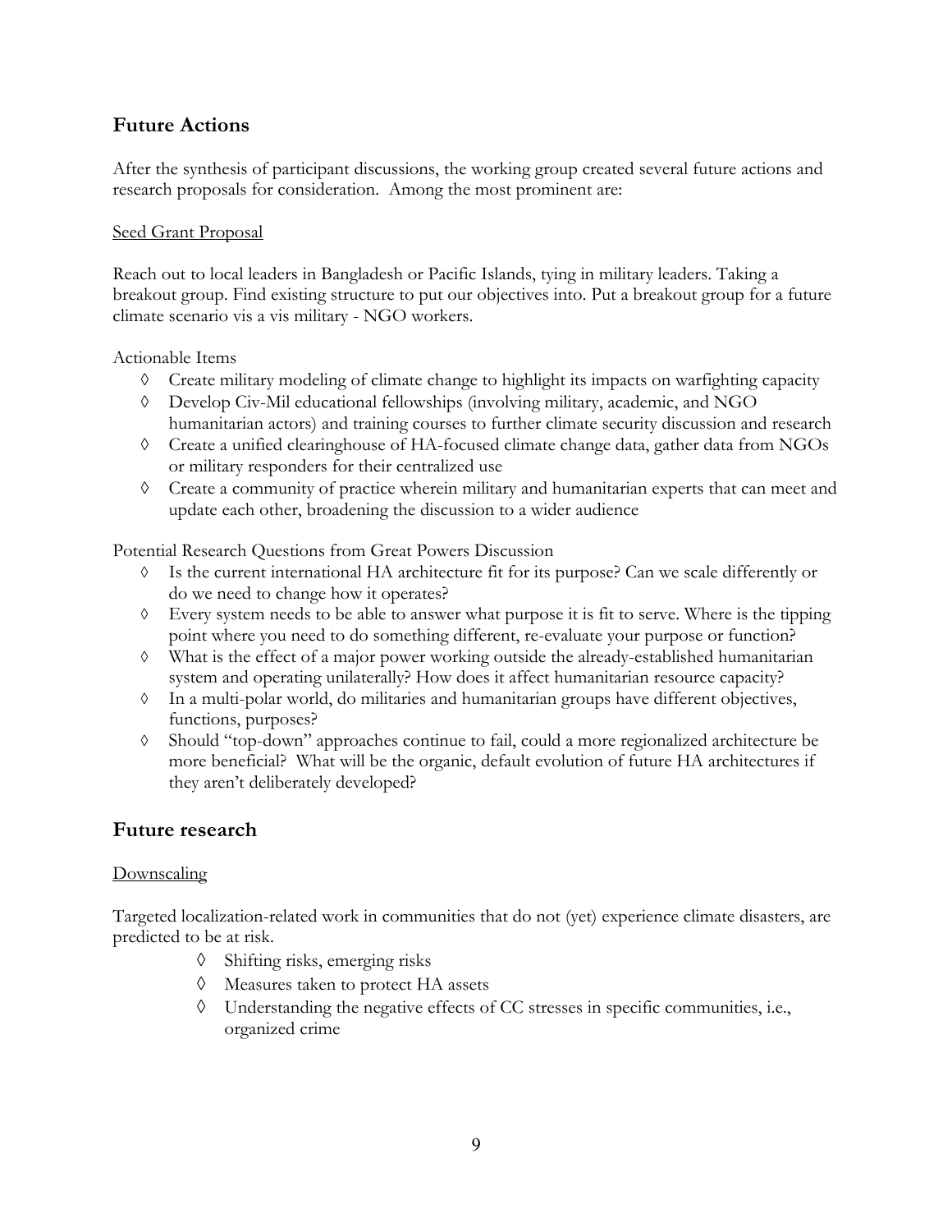# **Future Actions**

After the synthesis of participant discussions, the working group created several future actions and research proposals for consideration. Among the most prominent are:

#### Seed Grant Proposal

Reach out to local leaders in Bangladesh or Pacific Islands, tying in military leaders. Taking a breakout group. Find existing structure to put our objectives into. Put a breakout group for a future climate scenario vis a vis military - NGO workers.

#### Actionable Items

- $\Diamond$  Create military modeling of climate change to highlight its impacts on warfighting capacity
- à Develop Civ-Mil educational fellowships (involving military, academic, and NGO humanitarian actors) and training courses to further climate security discussion and research
- à Create a unified clearinghouse of HA-focused climate change data, gather data from NGOs or military responders for their centralized use
- à Create a community of practice wherein military and humanitarian experts that can meet and update each other, broadening the discussion to a wider audience

Potential Research Questions from Great Powers Discussion

- Is the current international HA architecture fit for its purpose? Can we scale differently or do we need to change how it operates?
- $\Diamond$  Every system needs to be able to answer what purpose it is fit to serve. Where is the tipping point where you need to do something different, re-evaluate your purpose or function?
- $\Diamond$  What is the effect of a major power working outside the already-established humanitarian system and operating unilaterally? How does it affect humanitarian resource capacity?
- à In a multi-polar world, do militaries and humanitarian groups have different objectives, functions, purposes?
- à Should "top-down" approaches continue to fail, could a more regionalized architecture be more beneficial? What will be the organic, default evolution of future HA architectures if they aren't deliberately developed?

# **Future research**

# Downscaling

Targeted localization-related work in communities that do not (yet) experience climate disasters, are predicted to be at risk.

- $\Diamond$  Shifting risks, emerging risks
- à Measures taken to protect HA assets
- $\Diamond$  Understanding the negative effects of CC stresses in specific communities, i.e., organized crime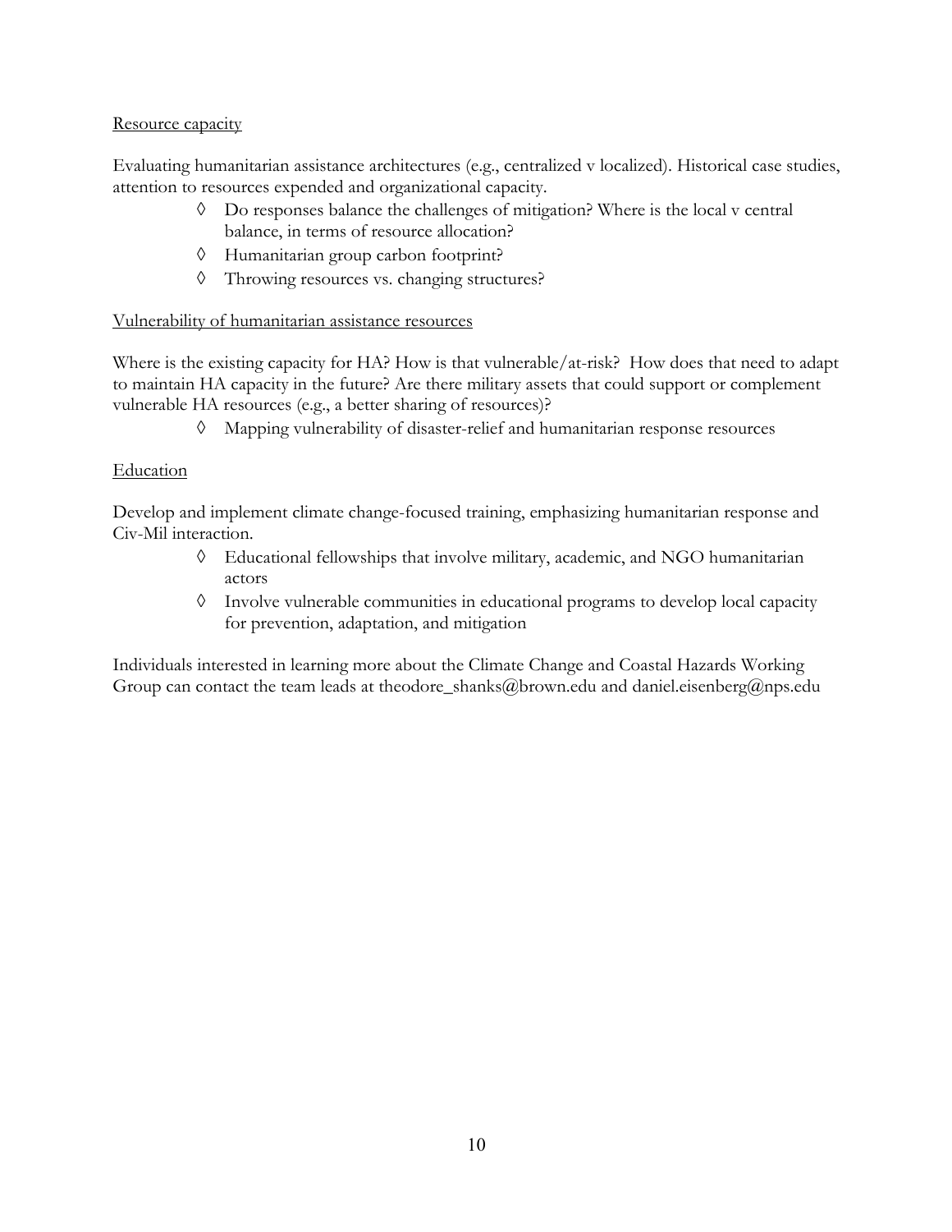# Resource capacity

Evaluating humanitarian assistance architectures (e.g., centralized v localized). Historical case studies, attention to resources expended and organizational capacity.

- $\lozenge$  Do responses balance the challenges of mitigation? Where is the local v central balance, in terms of resource allocation?
- à Humanitarian group carbon footprint?
- à Throwing resources vs. changing structures?

# Vulnerability of humanitarian assistance resources

Where is the existing capacity for HA? How is that vulnerable/at-risk? How does that need to adapt to maintain HA capacity in the future? Are there military assets that could support or complement vulnerable HA resources (e.g., a better sharing of resources)?

à Mapping vulnerability of disaster-relief and humanitarian response resources

# Education

Develop and implement climate change-focused training, emphasizing humanitarian response and Civ-Mil interaction.

- à Educational fellowships that involve military, academic, and NGO humanitarian actors
- à Involve vulnerable communities in educational programs to develop local capacity for prevention, adaptation, and mitigation

Individuals interested in learning more about the Climate Change and Coastal Hazards Working Group can contact the team leads at theodore\_shanks@brown.edu and daniel.eisenberg@nps.edu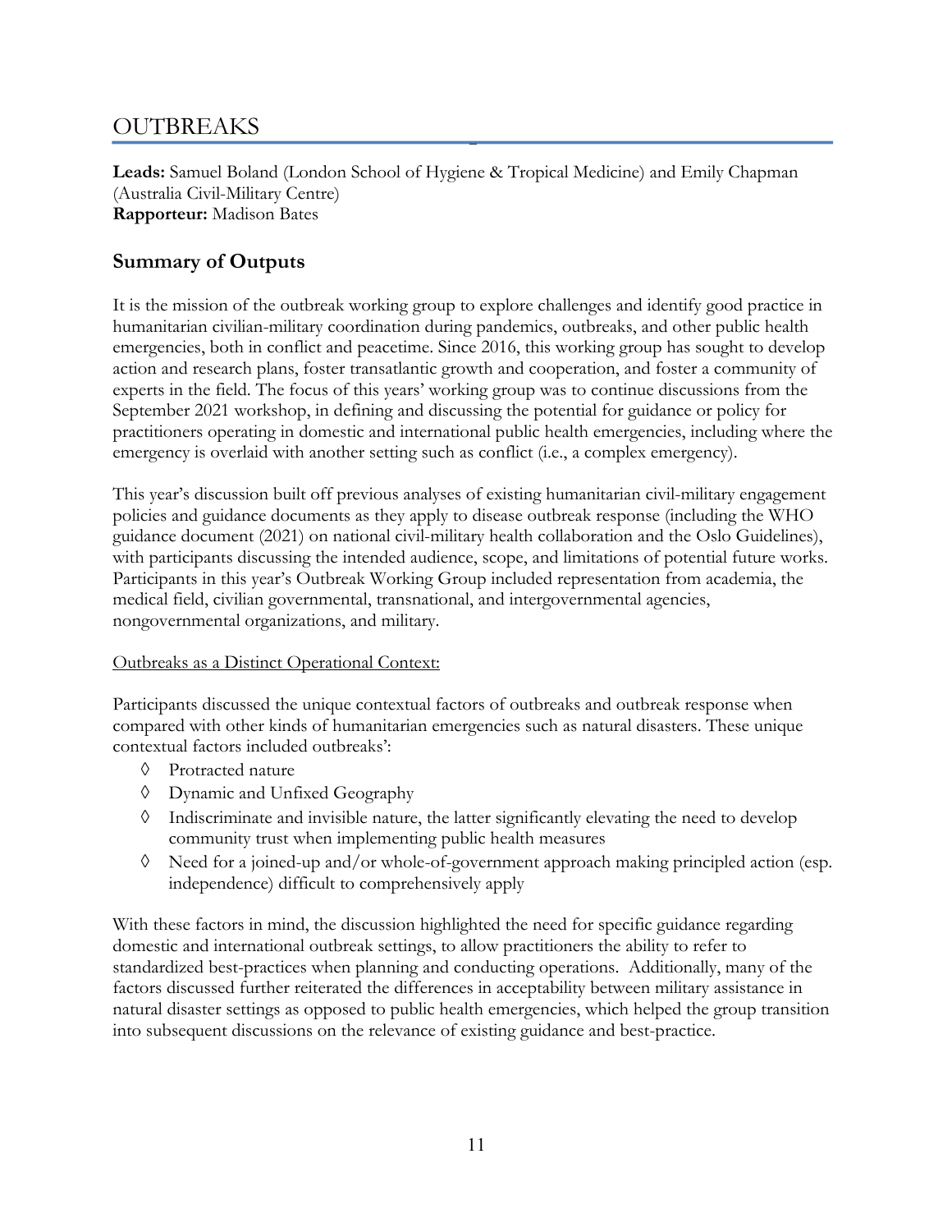# **OUTBREAKS**

**Leads:** Samuel Boland (London School of Hygiene & Tropical Medicine) and Emily Chapman (Australia Civil-Military Centre) **Rapporteur:** Madison Bates

# **Summary of Outputs**

It is the mission of the outbreak working group to explore challenges and identify good practice in humanitarian civilian-military coordination during pandemics, outbreaks, and other public health emergencies, both in conflict and peacetime. Since 2016, this working group has sought to develop action and research plans, foster transatlantic growth and cooperation, and foster a community of experts in the field. The focus of this years' working group was to continue discussions from the September 2021 workshop, in defining and discussing the potential for guidance or policy for practitioners operating in domestic and international public health emergencies, including where the emergency is overlaid with another setting such as conflict (i.e., a complex emergency).

This year's discussion built off previous analyses of existing humanitarian civil-military engagement policies and guidance documents as they apply to disease outbreak response (including the WHO guidance document (2021) on national civil-military health collaboration and the Oslo Guidelines), with participants discussing the intended audience, scope, and limitations of potential future works. Participants in this year's Outbreak Working Group included representation from academia, the medical field, civilian governmental, transnational, and intergovernmental agencies, nongovernmental organizations, and military.

# Outbreaks as a Distinct Operational Context:

Participants discussed the unique contextual factors of outbreaks and outbreak response when compared with other kinds of humanitarian emergencies such as natural disasters. These unique contextual factors included outbreaks':

- à Protracted nature
- à Dynamic and Unfixed Geography
- $\Diamond$  Indiscriminate and invisible nature, the latter significantly elevating the need to develop community trust when implementing public health measures
- à Need for a joined-up and/or whole-of-government approach making principled action (esp. independence) difficult to comprehensively apply

With these factors in mind, the discussion highlighted the need for specific guidance regarding domestic and international outbreak settings, to allow practitioners the ability to refer to standardized best-practices when planning and conducting operations. Additionally, many of the factors discussed further reiterated the differences in acceptability between military assistance in natural disaster settings as opposed to public health emergencies, which helped the group transition into subsequent discussions on the relevance of existing guidance and best-practice.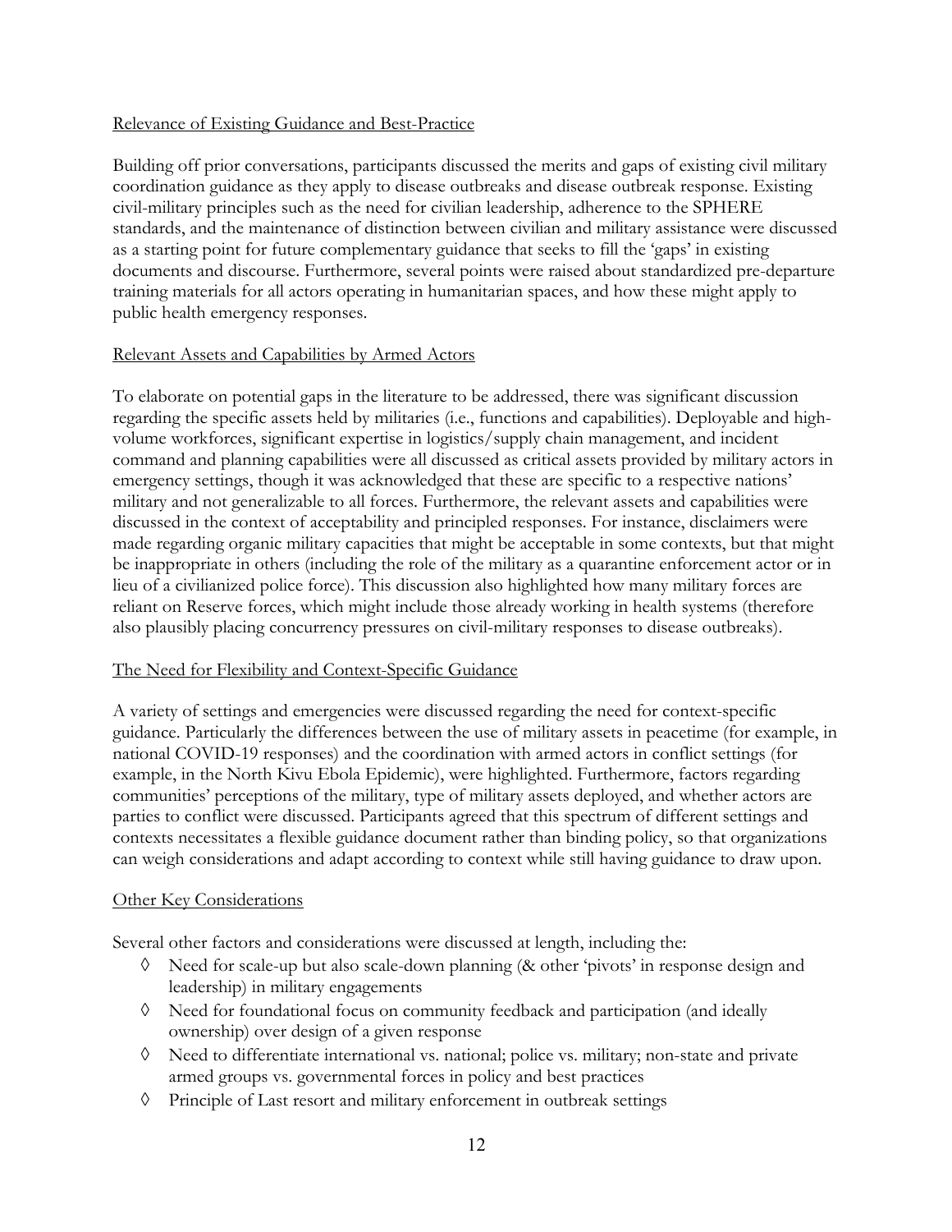# Relevance of Existing Guidance and Best-Practice

Building off prior conversations, participants discussed the merits and gaps of existing civil military coordination guidance as they apply to disease outbreaks and disease outbreak response. Existing civil-military principles such as the need for civilian leadership, adherence to the SPHERE standards, and the maintenance of distinction between civilian and military assistance were discussed as a starting point for future complementary guidance that seeks to fill the 'gaps' in existing documents and discourse. Furthermore, several points were raised about standardized pre-departure training materials for all actors operating in humanitarian spaces, and how these might apply to public health emergency responses.

# Relevant Assets and Capabilities by Armed Actors

To elaborate on potential gaps in the literature to be addressed, there was significant discussion regarding the specific assets held by militaries (i.e., functions and capabilities). Deployable and highvolume workforces, significant expertise in logistics/supply chain management, and incident command and planning capabilities were all discussed as critical assets provided by military actors in emergency settings, though it was acknowledged that these are specific to a respective nations' military and not generalizable to all forces. Furthermore, the relevant assets and capabilities were discussed in the context of acceptability and principled responses. For instance, disclaimers were made regarding organic military capacities that might be acceptable in some contexts, but that might be inappropriate in others (including the role of the military as a quarantine enforcement actor or in lieu of a civilianized police force). This discussion also highlighted how many military forces are reliant on Reserve forces, which might include those already working in health systems (therefore also plausibly placing concurrency pressures on civil-military responses to disease outbreaks).

# The Need for Flexibility and Context-Specific Guidance

A variety of settings and emergencies were discussed regarding the need for context-specific guidance. Particularly the differences between the use of military assets in peacetime (for example, in national COVID-19 responses) and the coordination with armed actors in conflict settings (for example, in the North Kivu Ebola Epidemic), were highlighted. Furthermore, factors regarding communities' perceptions of the military, type of military assets deployed, and whether actors are parties to conflict were discussed. Participants agreed that this spectrum of different settings and contexts necessitates a flexible guidance document rather than binding policy, so that organizations can weigh considerations and adapt according to context while still having guidance to draw upon.

# Other Key Considerations

Several other factors and considerations were discussed at length, including the:

- à Need for scale-up but also scale-down planning (& other 'pivots' in response design and leadership) in military engagements
- à Need for foundational focus on community feedback and participation (and ideally ownership) over design of a given response
- à Need to differentiate international vs. national; police vs. military; non-state and private armed groups vs. governmental forces in policy and best practices
- à Principle of Last resort and military enforcement in outbreak settings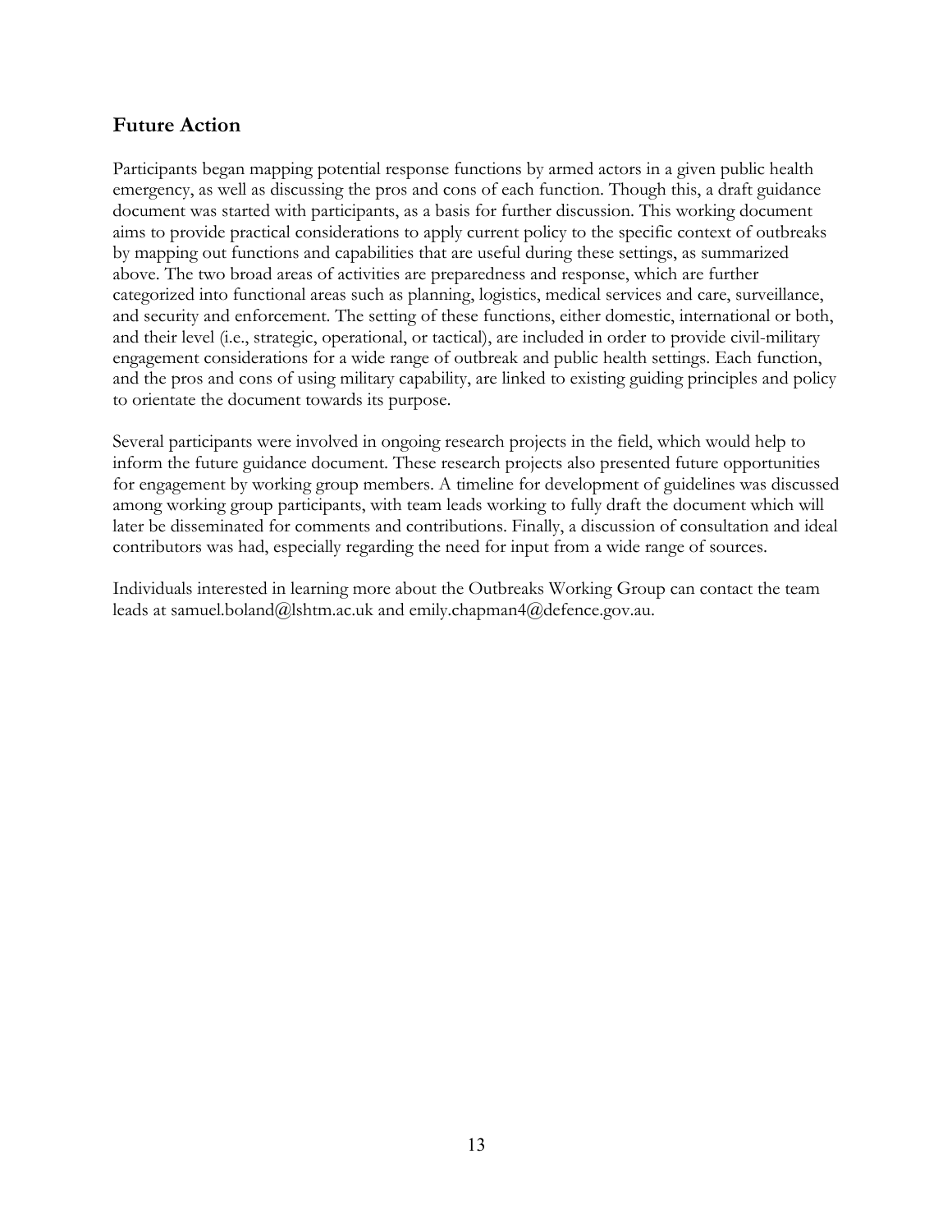# **Future Action**

Participants began mapping potential response functions by armed actors in a given public health emergency, as well as discussing the pros and cons of each function. Though this, a draft guidance document was started with participants, as a basis for further discussion. This working document aims to provide practical considerations to apply current policy to the specific context of outbreaks by mapping out functions and capabilities that are useful during these settings, as summarized above. The two broad areas of activities are preparedness and response, which are further categorized into functional areas such as planning, logistics, medical services and care, surveillance, and security and enforcement. The setting of these functions, either domestic, international or both, and their level (i.e., strategic, operational, or tactical), are included in order to provide civil-military engagement considerations for a wide range of outbreak and public health settings. Each function, and the pros and cons of using military capability, are linked to existing guiding principles and policy to orientate the document towards its purpose.

Several participants were involved in ongoing research projects in the field, which would help to inform the future guidance document. These research projects also presented future opportunities for engagement by working group members. A timeline for development of guidelines was discussed among working group participants, with team leads working to fully draft the document which will later be disseminated for comments and contributions. Finally, a discussion of consultation and ideal contributors was had, especially regarding the need for input from a wide range of sources.

Individuals interested in learning more about the Outbreaks Working Group can contact the team leads at samuel.boland@lshtm.ac.uk and emily.chapman4@defence.gov.au.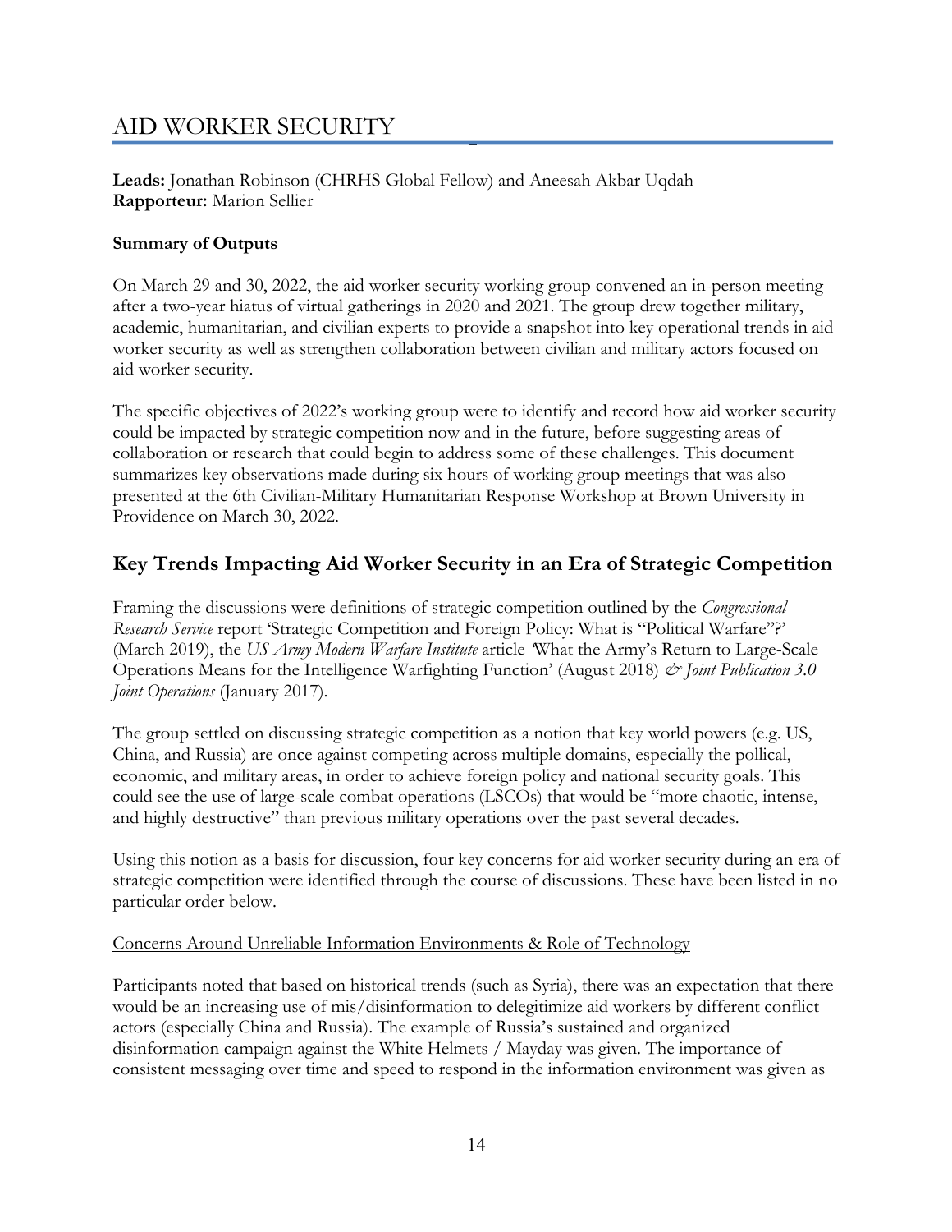# AID WORKER SECURITY

**Leads:** Jonathan Robinson (CHRHS Global Fellow) and Aneesah Akbar Uqdah **Rapporteur:** Marion Sellier

# **Summary of Outputs**

On March 29 and 30, 2022, the aid worker security working group convened an in-person meeting after a two-year hiatus of virtual gatherings in 2020 and 2021. The group drew together military, academic, humanitarian, and civilian experts to provide a snapshot into key operational trends in aid worker security as well as strengthen collaboration between civilian and military actors focused on aid worker security.

The specific objectives of 2022's working group were to identify and record how aid worker security could be impacted by strategic competition now and in the future, before suggesting areas of collaboration or research that could begin to address some of these challenges. This document summarizes key observations made during six hours of working group meetings that was also presented at the 6th Civilian-Military Humanitarian Response Workshop at Brown University in Providence on March 30, 2022.

# **Key Trends Impacting Aid Worker Security in an Era of Strategic Competition**

Framing the discussions were definitions of strategic competition outlined by the *Congressional Research Service* report 'Strategic Competition and Foreign Policy: What is "Political Warfare"?' (March 2019), the *US Army Modern Warfare Institute* article *'*What the Army's Return to Large-Scale Operations Means for the Intelligence Warfighting Function' (August 2018) *& Joint Publication 3.0 Joint Operations* (January 2017).

The group settled on discussing strategic competition as a notion that key world powers (e.g. US, China, and Russia) are once against competing across multiple domains, especially the pollical, economic, and military areas, in order to achieve foreign policy and national security goals. This could see the use of large-scale combat operations (LSCOs) that would be "more chaotic, intense, and highly destructive" than previous military operations over the past several decades.

Using this notion as a basis for discussion, four key concerns for aid worker security during an era of strategic competition were identified through the course of discussions. These have been listed in no particular order below.

# Concerns Around Unreliable Information Environments & Role of Technology

Participants noted that based on historical trends (such as Syria), there was an expectation that there would be an increasing use of mis/disinformation to delegitimize aid workers by different conflict actors (especially China and Russia). The example of Russia's sustained and organized disinformation campaign against the White Helmets / Mayday was given. The importance of consistent messaging over time and speed to respond in the information environment was given as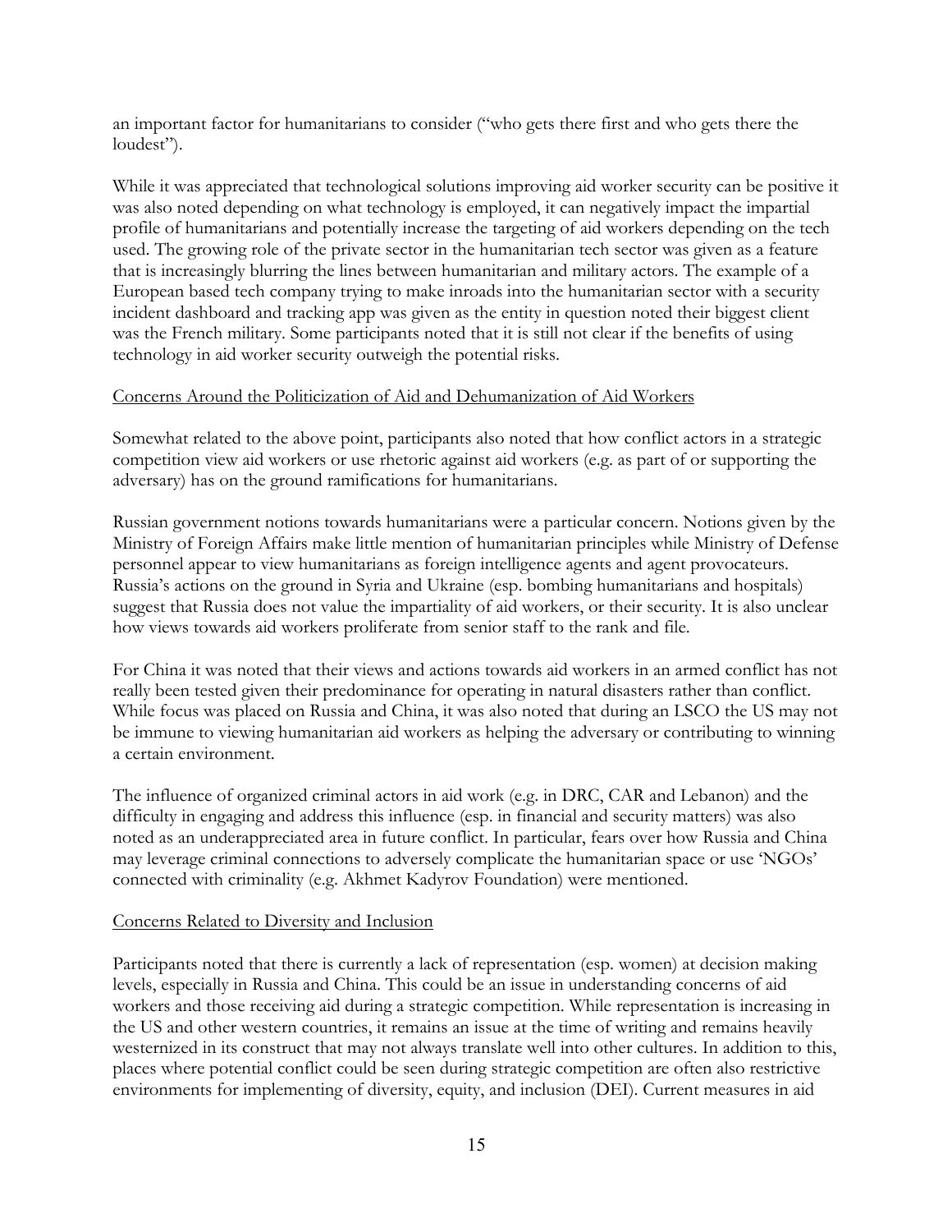an important factor for humanitarians to consider ("who gets there first and who gets there the loudest").

While it was appreciated that technological solutions improving aid worker security can be positive it was also noted depending on what technology is employed, it can negatively impact the impartial profile of humanitarians and potentially increase the targeting of aid workers depending on the tech used. The growing role of the private sector in the humanitarian tech sector was given as a feature that is increasingly blurring the lines between humanitarian and military actors. The example of a European based tech company trying to make inroads into the humanitarian sector with a security incident dashboard and tracking app was given as the entity in question noted their biggest client was the French military. Some participants noted that it is still not clear if the benefits of using technology in aid worker security outweigh the potential risks.

#### Concerns Around the Politicization of Aid and Dehumanization of Aid Workers

Somewhat related to the above point, participants also noted that how conflict actors in a strategic competition view aid workers or use rhetoric against aid workers (e.g. as part of or supporting the adversary) has on the ground ramifications for humanitarians.

Russian government notions towards humanitarians were a particular concern. Notions given by the Ministry of Foreign Affairs make little mention of humanitarian principles while Ministry of Defense personnel appear to view humanitarians as foreign intelligence agents and agent provocateurs. Russia's actions on the ground in Syria and Ukraine (esp. bombing humanitarians and hospitals) suggest that Russia does not value the impartiality of aid workers, or their security. It is also unclear how views towards aid workers proliferate from senior staff to the rank and file.

For China it was noted that their views and actions towards aid workers in an armed conflict has not really been tested given their predominance for operating in natural disasters rather than conflict. While focus was placed on Russia and China, it was also noted that during an LSCO the US may not be immune to viewing humanitarian aid workers as helping the adversary or contributing to winning a certain environment.

The influence of organized criminal actors in aid work (e.g. in DRC, CAR and Lebanon) and the difficulty in engaging and address this influence (esp. in financial and security matters) was also noted as an underappreciated area in future conflict. In particular, fears over how Russia and China may leverage criminal connections to adversely complicate the humanitarian space or use 'NGOs' connected with criminality (e.g. Akhmet Kadyrov Foundation) were mentioned.

#### Concerns Related to Diversity and Inclusion

Participants noted that there is currently a lack of representation (esp. women) at decision making levels, especially in Russia and China. This could be an issue in understanding concerns of aid workers and those receiving aid during a strategic competition. While representation is increasing in the US and other western countries, it remains an issue at the time of writing and remains heavily westernized in its construct that may not always translate well into other cultures. In addition to this, places where potential conflict could be seen during strategic competition are often also restrictive environments for implementing of diversity, equity, and inclusion (DEI). Current measures in aid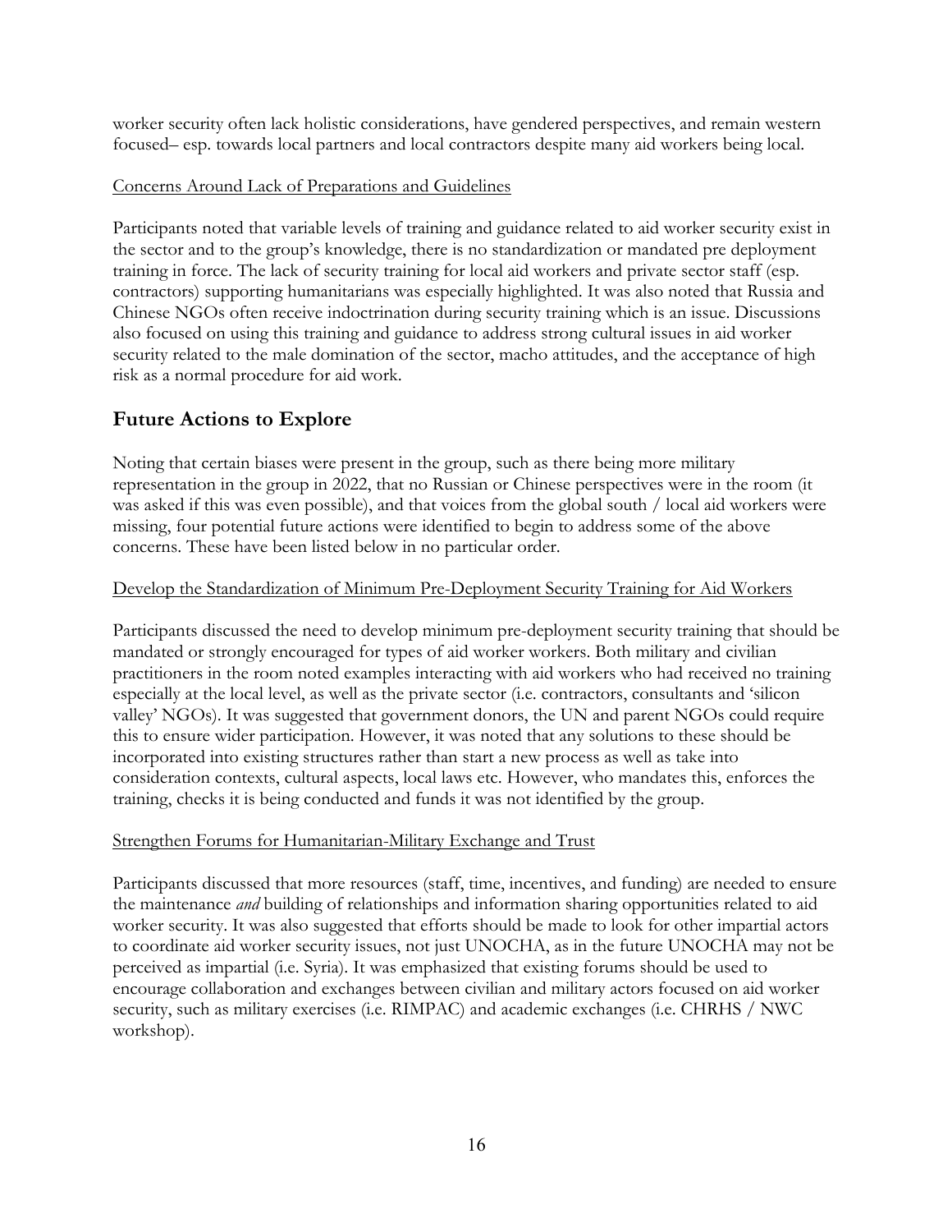worker security often lack holistic considerations, have gendered perspectives, and remain western focused– esp. towards local partners and local contractors despite many aid workers being local.

# Concerns Around Lack of Preparations and Guidelines

Participants noted that variable levels of training and guidance related to aid worker security exist in the sector and to the group's knowledge, there is no standardization or mandated pre deployment training in force. The lack of security training for local aid workers and private sector staff (esp. contractors) supporting humanitarians was especially highlighted. It was also noted that Russia and Chinese NGOs often receive indoctrination during security training which is an issue. Discussions also focused on using this training and guidance to address strong cultural issues in aid worker security related to the male domination of the sector, macho attitudes, and the acceptance of high risk as a normal procedure for aid work.

# **Future Actions to Explore**

Noting that certain biases were present in the group, such as there being more military representation in the group in 2022, that no Russian or Chinese perspectives were in the room (it was asked if this was even possible), and that voices from the global south / local aid workers were missing, four potential future actions were identified to begin to address some of the above concerns. These have been listed below in no particular order.

# Develop the Standardization of Minimum Pre-Deployment Security Training for Aid Workers

Participants discussed the need to develop minimum pre-deployment security training that should be mandated or strongly encouraged for types of aid worker workers. Both military and civilian practitioners in the room noted examples interacting with aid workers who had received no training especially at the local level, as well as the private sector (i.e. contractors, consultants and 'silicon valley' NGOs). It was suggested that government donors, the UN and parent NGOs could require this to ensure wider participation. However, it was noted that any solutions to these should be incorporated into existing structures rather than start a new process as well as take into consideration contexts, cultural aspects, local laws etc. However, who mandates this, enforces the training, checks it is being conducted and funds it was not identified by the group.

# Strengthen Forums for Humanitarian-Military Exchange and Trust

Participants discussed that more resources (staff, time, incentives, and funding) are needed to ensure the maintenance *and* building of relationships and information sharing opportunities related to aid worker security. It was also suggested that efforts should be made to look for other impartial actors to coordinate aid worker security issues, not just UNOCHA, as in the future UNOCHA may not be perceived as impartial (i.e. Syria). It was emphasized that existing forums should be used to encourage collaboration and exchanges between civilian and military actors focused on aid worker security, such as military exercises (i.e. RIMPAC) and academic exchanges (i.e. CHRHS / NWC workshop).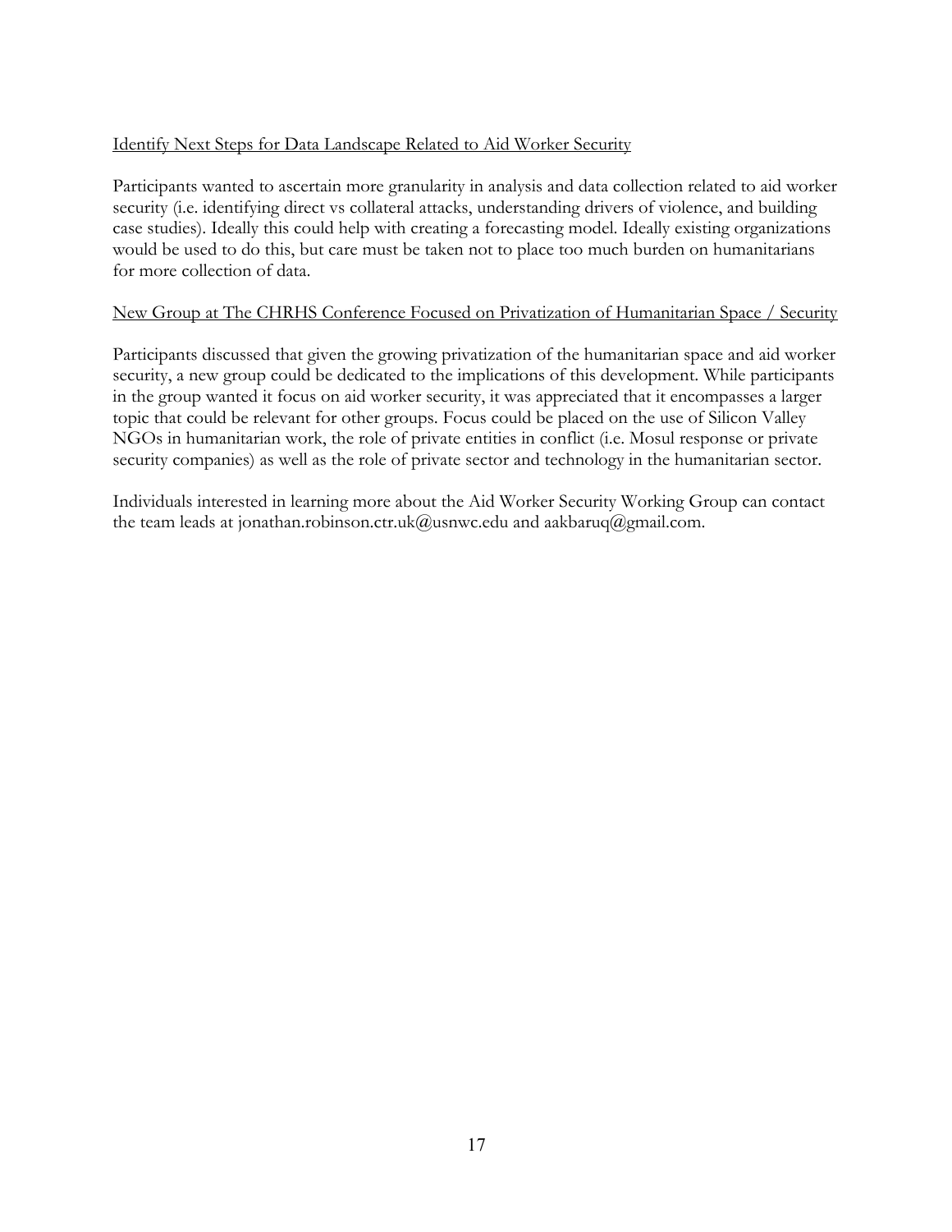# Identify Next Steps for Data Landscape Related to Aid Worker Security

Participants wanted to ascertain more granularity in analysis and data collection related to aid worker security (i.e. identifying direct vs collateral attacks, understanding drivers of violence, and building case studies). Ideally this could help with creating a forecasting model. Ideally existing organizations would be used to do this, but care must be taken not to place too much burden on humanitarians for more collection of data.

# New Group at The CHRHS Conference Focused on Privatization of Humanitarian Space / Security

Participants discussed that given the growing privatization of the humanitarian space and aid worker security, a new group could be dedicated to the implications of this development. While participants in the group wanted it focus on aid worker security, it was appreciated that it encompasses a larger topic that could be relevant for other groups. Focus could be placed on the use of Silicon Valley NGOs in humanitarian work, the role of private entities in conflict (i.e. Mosul response or private security companies) as well as the role of private sector and technology in the humanitarian sector.

Individuals interested in learning more about the Aid Worker Security Working Group can contact the team leads at jonathan.robinson.ctr.uk@usnwc.edu and aakbaruq@gmail.com.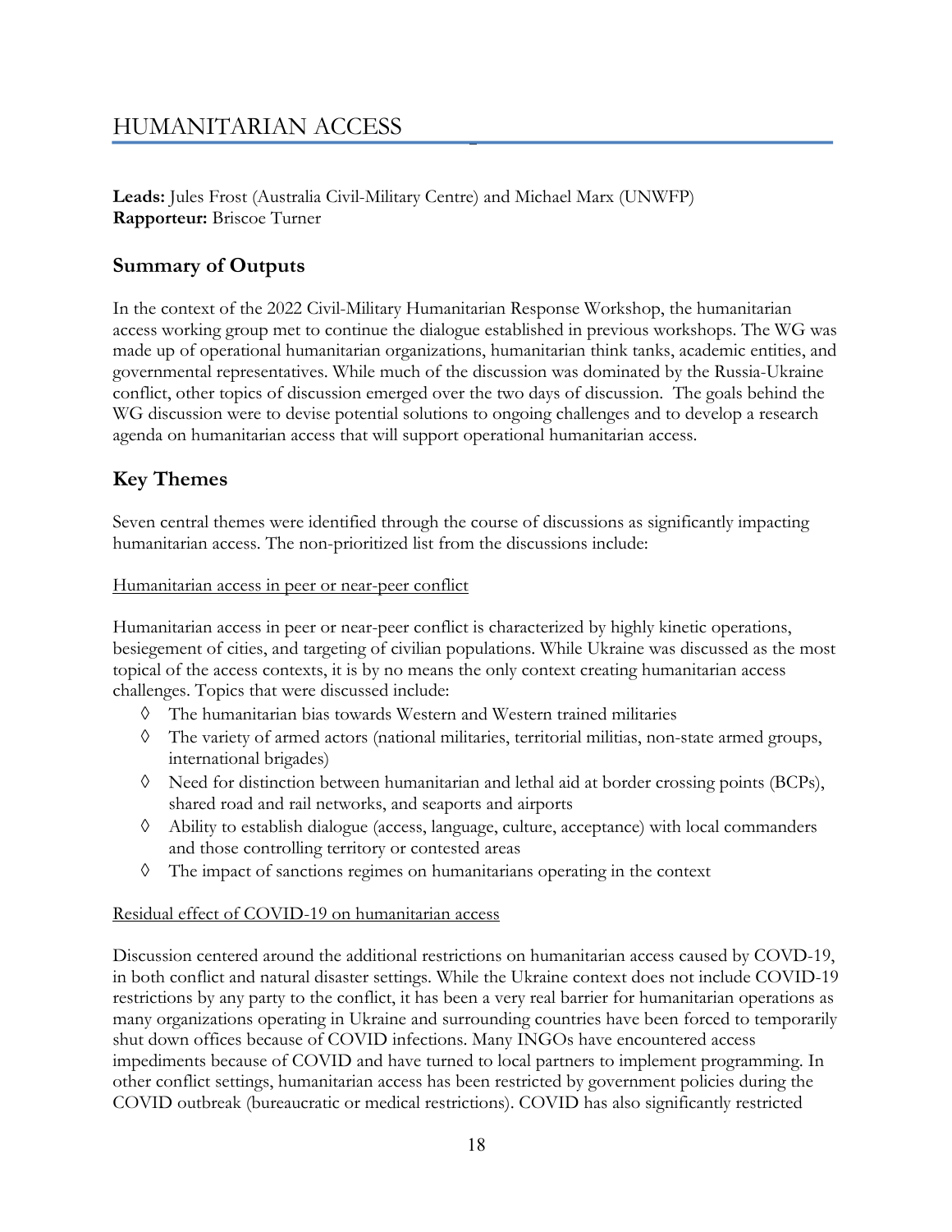# HUMANITARIAN ACCESS

**Leads:** Jules Frost (Australia Civil-Military Centre) and Michael Marx (UNWFP) **Rapporteur:** Briscoe Turner

# **Summary of Outputs**

In the context of the 2022 Civil-Military Humanitarian Response Workshop, the humanitarian access working group met to continue the dialogue established in previous workshops. The WG was made up of operational humanitarian organizations, humanitarian think tanks, academic entities, and governmental representatives. While much of the discussion was dominated by the Russia-Ukraine conflict, other topics of discussion emerged over the two days of discussion. The goals behind the WG discussion were to devise potential solutions to ongoing challenges and to develop a research agenda on humanitarian access that will support operational humanitarian access.

# **Key Themes**

Seven central themes were identified through the course of discussions as significantly impacting humanitarian access. The non-prioritized list from the discussions include:

Humanitarian access in peer or near-peer conflict

Humanitarian access in peer or near-peer conflict is characterized by highly kinetic operations, besiegement of cities, and targeting of civilian populations. While Ukraine was discussed as the most topical of the access contexts, it is by no means the only context creating humanitarian access challenges. Topics that were discussed include:

- à The humanitarian bias towards Western and Western trained militaries
- $\Diamond$  The variety of armed actors (national militaries, territorial militias, non-state armed groups, international brigades)
- à Need for distinction between humanitarian and lethal aid at border crossing points (BCPs), shared road and rail networks, and seaports and airports
- à Ability to establish dialogue (access, language, culture, acceptance) with local commanders and those controlling territory or contested areas
- à The impact of sanctions regimes on humanitarians operating in the context

# Residual effect of COVID-19 on humanitarian access

Discussion centered around the additional restrictions on humanitarian access caused by COVD-19, in both conflict and natural disaster settings. While the Ukraine context does not include COVID-19 restrictions by any party to the conflict, it has been a very real barrier for humanitarian operations as many organizations operating in Ukraine and surrounding countries have been forced to temporarily shut down offices because of COVID infections. Many INGOs have encountered access impediments because of COVID and have turned to local partners to implement programming. In other conflict settings, humanitarian access has been restricted by government policies during the COVID outbreak (bureaucratic or medical restrictions). COVID has also significantly restricted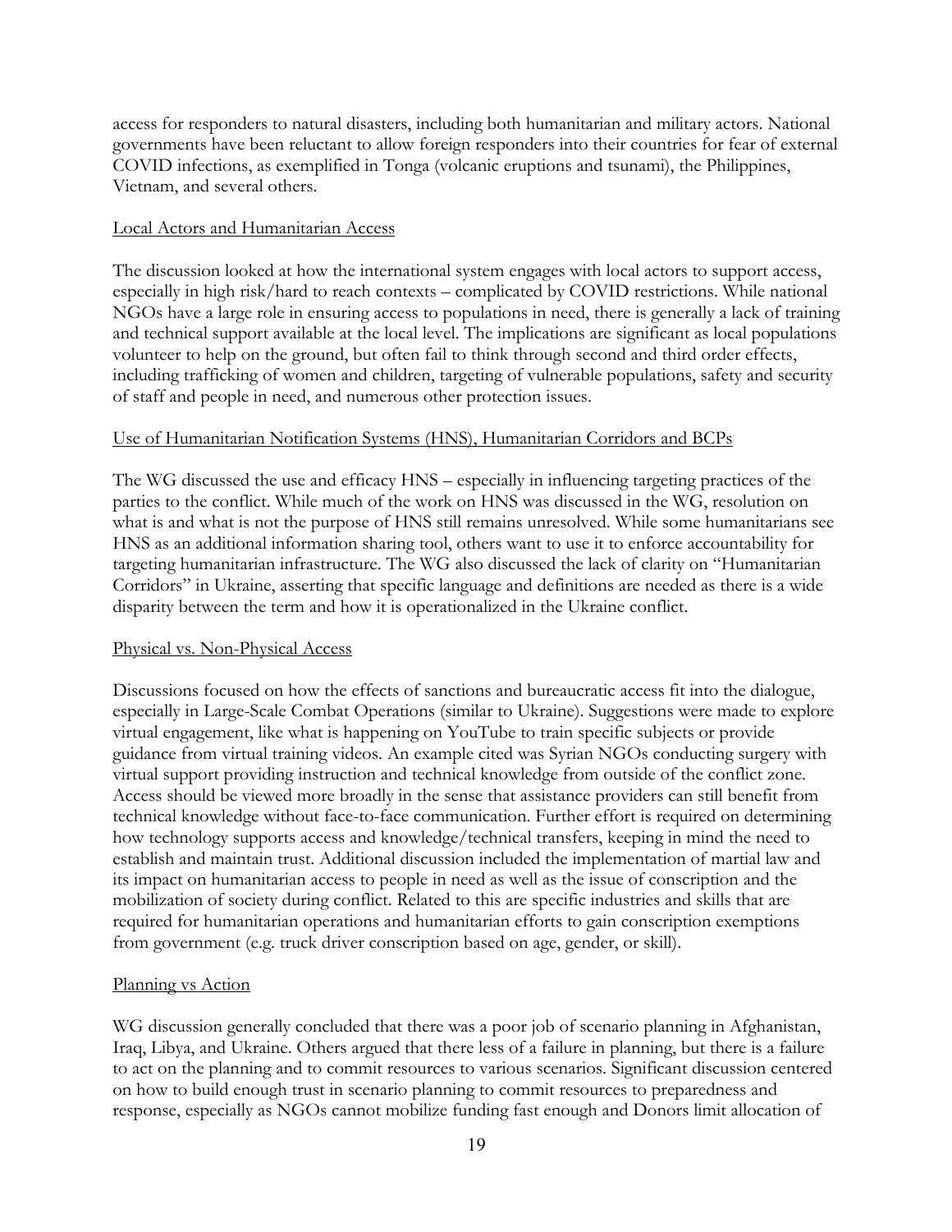access for responders to natural disasters, including both humanitarian and military actors. National governments have been reluctant to allow foreign responders into their countries for fear of external COVID infections, as exemplified in Tonga (volcanic eruptions and tsunami), the Philippines, Vietnam, and several others.

# Local Actors and Humanitarian Access

The discussion looked at how the international system engages with local actors to support access, especially in high risk/hard to reach contexts – complicated by COVID restrictions. While national NGOs have a large role in ensuring access to populations in need, there is generally a lack of training and technical support available at the local level. The implications are significant as local populations volunteer to help on the ground, but often fail to think through second and third order effects, including trafficking of women and children, targeting of vulnerable populations, safety and security of staff and people in need, and numerous other protection issues.

#### Use of Humanitarian Notification Systems (HNS), Humanitarian Corridors and BCPs

The WG discussed the use and efficacy HNS – especially in influencing targeting practices of the parties to the conflict. While much of the work on HNS was discussed in the WG, resolution on what is and what is not the purpose of HNS still remains unresolved. While some humanitarians see HNS as an additional information sharing tool, others want to use it to enforce accountability for targeting humanitarian infrastructure. The WG also discussed the lack of clarity on "Humanitarian Corridors" in Ukraine, asserting that specific language and definitions are needed as there is a wide disparity between the term and how it is operationalized in the Ukraine conflict.

#### Physical vs. Non-Physical Access

Discussions focused on how the effects of sanctions and bureaucratic access fit into the dialogue, especially in Large-Scale Combat Operations (similar to Ukraine). Suggestions were made to explore virtual engagement, like what is happening on YouTube to train specific subjects or provide guidance from virtual training videos. An example cited was Syrian NGOs conducting surgery with virtual support providing instruction and technical knowledge from outside of the conflict zone. Access should be viewed more broadly in the sense that assistance providers can still benefit from technical knowledge without face-to-face communication. Further effort is required on determining how technology supports access and knowledge/technical transfers, keeping in mind the need to establish and maintain trust. Additional discussion included the implementation of martial law and its impact on humanitarian access to people in need as well as the issue of conscription and the mobilization of society during conflict. Related to this are specific industries and skills that are required for humanitarian operations and humanitarian efforts to gain conscription exemptions from government (e.g. truck driver conscription based on age, gender, or skill).

# Planning vs Action

WG discussion generally concluded that there was a poor job of scenario planning in Afghanistan, Iraq, Libya, and Ukraine. Others argued that there less of a failure in planning, but there is a failure to act on the planning and to commit resources to various scenarios. Significant discussion centered on how to build enough trust in scenario planning to commit resources to preparedness and response, especially as NGOs cannot mobilize funding fast enough and Donors limit allocation of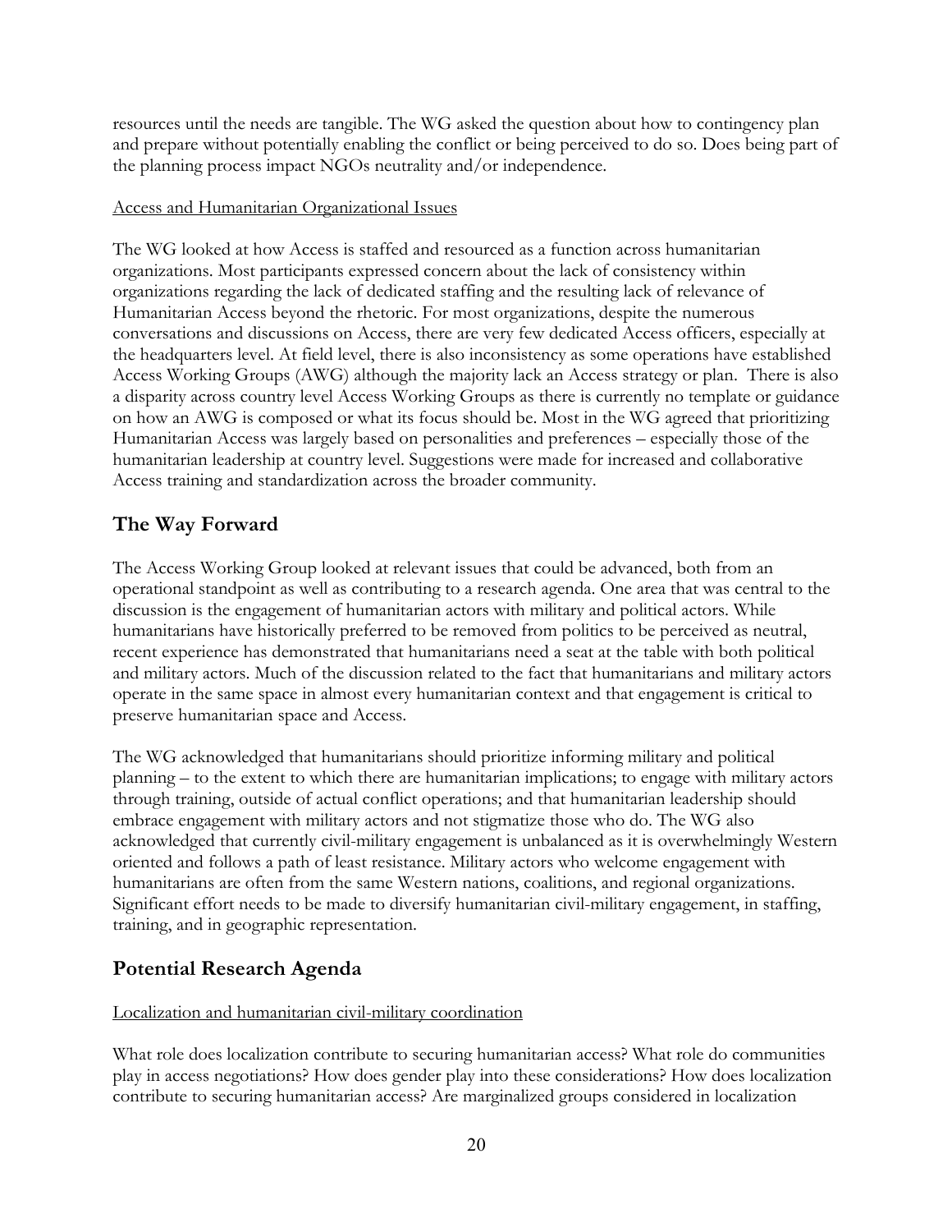resources until the needs are tangible. The WG asked the question about how to contingency plan and prepare without potentially enabling the conflict or being perceived to do so. Does being part of the planning process impact NGOs neutrality and/or independence.

# Access and Humanitarian Organizational Issues

The WG looked at how Access is staffed and resourced as a function across humanitarian organizations. Most participants expressed concern about the lack of consistency within organizations regarding the lack of dedicated staffing and the resulting lack of relevance of Humanitarian Access beyond the rhetoric. For most organizations, despite the numerous conversations and discussions on Access, there are very few dedicated Access officers, especially at the headquarters level. At field level, there is also inconsistency as some operations have established Access Working Groups (AWG) although the majority lack an Access strategy or plan. There is also a disparity across country level Access Working Groups as there is currently no template or guidance on how an AWG is composed or what its focus should be. Most in the WG agreed that prioritizing Humanitarian Access was largely based on personalities and preferences – especially those of the humanitarian leadership at country level. Suggestions were made for increased and collaborative Access training and standardization across the broader community.

# **The Way Forward**

The Access Working Group looked at relevant issues that could be advanced, both from an operational standpoint as well as contributing to a research agenda. One area that was central to the discussion is the engagement of humanitarian actors with military and political actors. While humanitarians have historically preferred to be removed from politics to be perceived as neutral, recent experience has demonstrated that humanitarians need a seat at the table with both political and military actors. Much of the discussion related to the fact that humanitarians and military actors operate in the same space in almost every humanitarian context and that engagement is critical to preserve humanitarian space and Access.

The WG acknowledged that humanitarians should prioritize informing military and political planning – to the extent to which there are humanitarian implications; to engage with military actors through training, outside of actual conflict operations; and that humanitarian leadership should embrace engagement with military actors and not stigmatize those who do. The WG also acknowledged that currently civil-military engagement is unbalanced as it is overwhelmingly Western oriented and follows a path of least resistance. Military actors who welcome engagement with humanitarians are often from the same Western nations, coalitions, and regional organizations. Significant effort needs to be made to diversify humanitarian civil-military engagement, in staffing, training, and in geographic representation.

# **Potential Research Agenda**

# Localization and humanitarian civil-military coordination

What role does localization contribute to securing humanitarian access? What role do communities play in access negotiations? How does gender play into these considerations? How does localization contribute to securing humanitarian access? Are marginalized groups considered in localization